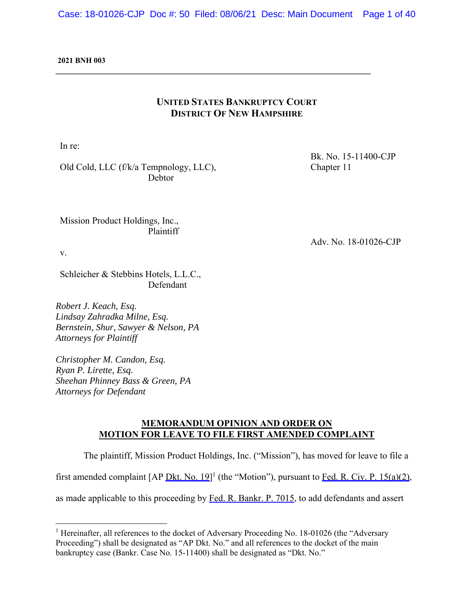#### **2021 BNH 003**

# **UNITED STATES BANKRUPTCY COURT DISTRICT OF NEW HAMPSHIRE**

**\_\_\_\_\_\_\_\_\_\_\_\_\_\_\_\_\_\_\_\_\_\_\_\_\_\_\_\_\_\_\_\_\_\_\_\_\_\_\_\_\_\_\_\_\_\_\_\_\_\_\_\_\_\_\_\_\_\_\_\_\_\_\_\_\_\_\_\_\_\_\_\_\_\_** 

In re:

Old Cold, LLC (f/k/a Tempnology, LLC), Debtor

Mission Product Holdings, Inc.,

Plaintiff

v.

Schleicher & Stebbins Hotels, L.L.C., Defendant

*Robert J. Keach, Esq. Lindsay Zahradka Milne, Esq. Bernstein, Shur, Sawyer & Nelson, PA Attorneys for Plaintiff* 

*Christopher M. Candon, Esq. Ryan P. Lirette, Esq. Sheehan Phinney Bass & Green, PA Attorneys for Defendant* 

## **MEMORANDUM OPINION AND ORDER ON MOTION FOR LEAVE TO FILE FIRST AMENDED COMPLAINT**

 The plaintiff, Mission Product Holdings, Inc. ("Mission"), has moved for leave to file a first amended complaint  $[AP \cdot Dkt. No. 19]$ <sup>1</sup> (the "Motion"), pursuant to Fed. R. Civ. P. 15(a)(2), as made applicable to this proceeding by Fed. R. Bankr. P. 7015, to add defendants and assert

Bk. No. 15-11400-CJP Chapter 11

Adv. No. 18-01026-CJP

<sup>&</sup>lt;sup>1</sup> Hereinafter, all references to the docket of Adversary Proceeding No. 18-01026 (the "Adversary Proceeding") shall be designated as "AP Dkt. No." and all references to the docket of the main bankruptcy case (Bankr. Case No. 15-11400) shall be designated as "Dkt. No."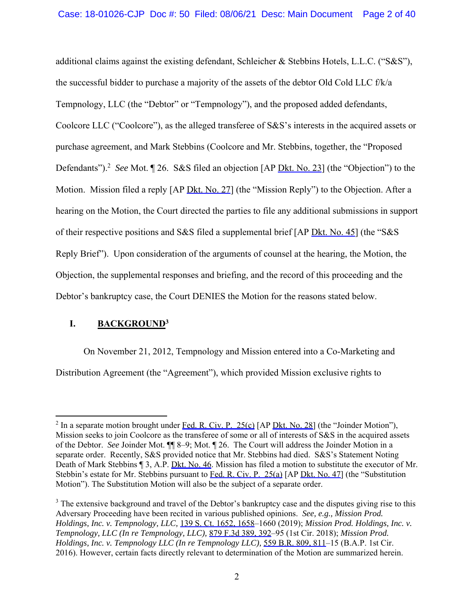additional claims against the existing defendant, Schleicher & Stebbins Hotels, L.L.C. ("S&S"), the successful bidder to purchase a majority of the assets of the debtor Old Cold LLC f/k/a Tempnology, LLC (the "Debtor" or "Tempnology"), and the proposed added defendants, Coolcore LLC ("Coolcore"), as the alleged transferee of S&S's interests in the acquired assets or purchase agreement, and Mark Stebbins (Coolcore and Mr. Stebbins, together, the "Proposed Defendants").<sup>2</sup> See Mot. 1 26. S&S filed an objection [AP Dkt. No. 23] (the "Objection") to the Motion. Mission filed a reply [AP Dkt. No. 27] (the "Mission Reply") to the Objection. After a hearing on the Motion, the Court directed the parties to file any additional submissions in support of their respective positions and S&S filed a supplemental brief [AP Dkt. No. 45] (the "S&S Reply Brief"). Upon consideration of the arguments of counsel at the hearing, the Motion, the Objection, the supplemental responses and briefing, and the record of this proceeding and the Debtor's bankruptcy case, the Court DENIES the Motion for the reasons stated below.

# **I. BACKGROUND3**

On November 21, 2012, Tempnology and Mission entered into a Co-Marketing and Distribution Agreement (the "Agreement"), which provided Mission exclusive rights to

<sup>&</sup>lt;sup>2</sup> In a separate motion brought under Fed. R. Civ. P. 25(c) [AP Dkt. No. 28] (the "Joinder Motion"), Mission seeks to join Coolcore as the transferee of some or all of interests of S&S in the acquired assets of the Debtor. *See* Joinder Mot. ¶¶ 8–9; Mot. ¶ 26. The Court will address the Joinder Motion in a separate order. Recently, S&S provided notice that Mr. Stebbins had died. S&S's Statement Noting Death of Mark Stebbins ¶ 3, A.P. Dkt. No. 46. Mission has filed a motion to substitute the executor of Mr. Stebbin's estate for Mr. Stebbins pursuant to Fed. R. Civ. P. 25(a) [AP Dkt. No. 47] (the "Substitution Motion"). The Substitution Motion will also be the subject of a separate order.

 $3$  The extensive background and travel of the Debtor's bankruptcy case and the disputes giving rise to this Adversary Proceeding have been recited in various published opinions. *See, e.g., Mission Prod. Holdings, Inc. v. Tempnology, LLC,* 139 S. Ct. 1652, 1658–1660 (2019); *Mission Prod. Holdings, Inc. v. Tempnology, LLC (In re Tempnology, LLC),* 879 F.3d 389, 392–95 (1st Cir. 2018); *Mission Prod. Holdings, Inc. v. Tempnology LLC (In re Tempnology LLC),* 559 B.R. 809, 811–15 (B.A.P. 1st Cir. 2016). However, certain facts directly relevant to determination of the Motion are summarized herein.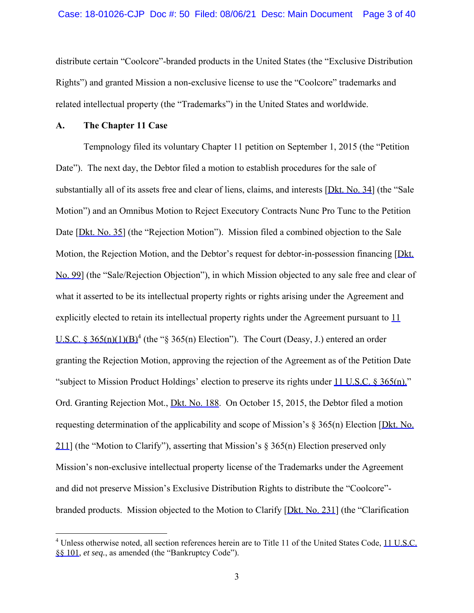distribute certain "Coolcore"-branded products in the United States (the "Exclusive Distribution Rights") and granted Mission a non-exclusive license to use the "Coolcore" trademarks and related intellectual property (the "Trademarks") in the United States and worldwide.

#### **A. The Chapter 11 Case**

Tempnology filed its voluntary Chapter 11 petition on September 1, 2015 (the "Petition Date"). The next day, the Debtor filed a motion to establish procedures for the sale of substantially all of its assets free and clear of liens, claims, and interests [Dkt. No. 34] (the "Sale Motion") and an Omnibus Motion to Reject Executory Contracts Nunc Pro Tunc to the Petition Date [Dkt. No. 35] (the "Rejection Motion"). Mission filed a combined objection to the Sale Motion, the Rejection Motion, and the Debtor's request for debtor-in-possession financing [Dkt. No. 99] (the "Sale/Rejection Objection"), in which Mission objected to any sale free and clear of what it asserted to be its intellectual property rights or rights arising under the Agreement and explicitly elected to retain its intellectual property rights under the Agreement pursuant to  $11$ U.S.C. § 365(n)(1)(B)<sup>4</sup> (the "§ 365(n) Election"). The Court (Deasy, J.) entered an order granting the Rejection Motion, approving the rejection of the Agreement as of the Petition Date "subject to Mission Product Holdings' election to preserve its rights under 11 U.S.C. § 365(n)." Ord. Granting Rejection Mot., *Dkt. No.* 188. On October 15, 2015, the Debtor filed a motion requesting determination of the applicability and scope of Mission's  $\S$  365(n) Election [Dkt. No. 211] (the "Motion to Clarify"), asserting that Mission's  $\S 365(n)$  Election preserved only Mission's non-exclusive intellectual property license of the Trademarks under the Agreement and did not preserve Mission's Exclusive Distribution Rights to distribute the "Coolcore" branded products. Mission objected to the Motion to Clarify [Dkt. No. 231] (the "Clarification

<sup>&</sup>lt;sup>4</sup> Unless otherwise noted, all section references herein are to Title 11 of the United States Code, 11 U.S.C. §§ 101, *et seq.*, as amended (the "Bankruptcy Code").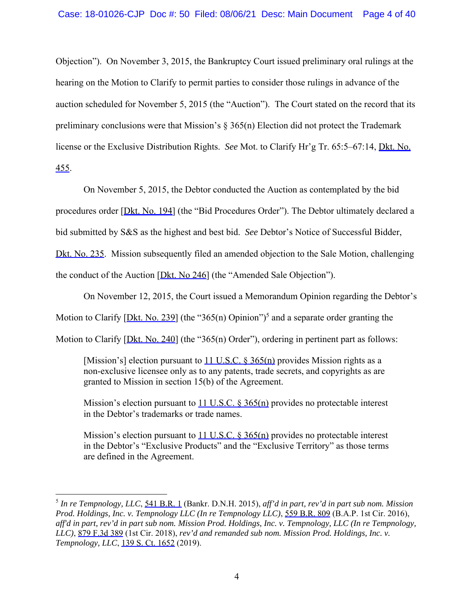Objection"). On November 3, 2015, the Bankruptcy Court issued preliminary oral rulings at the hearing on the Motion to Clarify to permit parties to consider those rulings in advance of the auction scheduled for November 5, 2015 (the "Auction"). The Court stated on the record that its preliminary conclusions were that Mission's § 365(n) Election did not protect the Trademark license or the Exclusive Distribution Rights. *See* Mot. to Clarify Hr'g Tr. 65:5–67:14, Dkt. No. 455.

On November 5, 2015, the Debtor conducted the Auction as contemplated by the bid

procedures order [Dkt. No. 194] (the "Bid Procedures Order"). The Debtor ultimately declared a

bid submitted by S&S as the highest and best bid. *See* Debtor's Notice of Successful Bidder,

Dkt. No. 235. Mission subsequently filed an amended objection to the Sale Motion, challenging

the conduct of the Auction [Dkt. No 246] (the "Amended Sale Objection").

On November 12, 2015, the Court issued a Memorandum Opinion regarding the Debtor's

Motion to Clarify [Dkt. No. 239] (the "365(n) Opinion")<sup>5</sup> and a separate order granting the

Motion to Clarify [Dkt. No. 240] (the "365(n) Order"), ordering in pertinent part as follows:

[Mission's] election pursuant to  $11$  U.S.C. § 365(n) provides Mission rights as a non-exclusive licensee only as to any patents, trade secrets, and copyrights as are granted to Mission in section 15(b) of the Agreement.

Mission's election pursuant to  $11$  U.S.C. § 365(n) provides no protectable interest in the Debtor's trademarks or trade names.

Mission's election pursuant to 11 U.S.C. § 365(n) provides no protectable interest in the Debtor's "Exclusive Products" and the "Exclusive Territory" as those terms are defined in the Agreement.

<sup>5</sup> *In re Tempnology, LLC*, 541 B.R. 1 (Bankr. D.N.H. 2015), *aff'd in part, rev'd in part sub nom. Mission Prod. Holdings, Inc. v. Tempnology LLC (In re Tempnology LLC)*, 559 B.R. 809 (B.A.P. 1st Cir. 2016), *aff'd in part, rev'd in part sub nom. Mission Prod. Holdings, Inc. v. Tempnology, LLC (In re Tempnology, LLC)*, 879 F.3d 389 (1st Cir. 2018), *rev'd and remanded sub nom. Mission Prod. Holdings, Inc. v. Tempnology, LLC*, 139 S. Ct. 1652 (2019).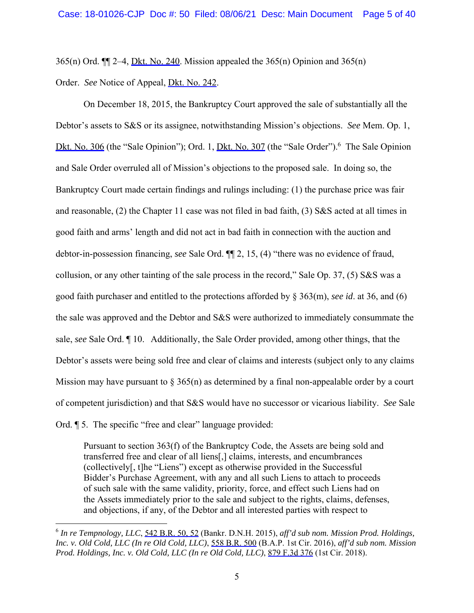365(n) Ord. ¶¶ 2–4, Dkt. No. 240. Mission appealed the 365(n) Opinion and 365(n)

Order. *See* Notice of Appeal, Dkt. No. 242.

 On December 18, 2015, the Bankruptcy Court approved the sale of substantially all the Debtor's assets to S&S or its assignee, notwithstanding Mission's objections. *See* Mem. Op. 1, Dkt. No. 306 (the "Sale Opinion"); Ord. 1, Dkt. No. 307 (the "Sale Order"). <sup>6</sup> The Sale Opinion and Sale Order overruled all of Mission's objections to the proposed sale. In doing so, the Bankruptcy Court made certain findings and rulings including: (1) the purchase price was fair and reasonable, (2) the Chapter 11 case was not filed in bad faith, (3) S&S acted at all times in good faith and arms' length and did not act in bad faith in connection with the auction and debtor-in-possession financing, *see* Sale Ord. ¶¶ 2, 15, (4) "there was no evidence of fraud, collusion, or any other tainting of the sale process in the record," Sale Op. 37, (5) S&S was a good faith purchaser and entitled to the protections afforded by § 363(m), *see id*. at 36, and (6) the sale was approved and the Debtor and S&S were authorized to immediately consummate the sale, *see* Sale Ord. ¶ 10. Additionally, the Sale Order provided, among other things, that the Debtor's assets were being sold free and clear of claims and interests (subject only to any claims Mission may have pursuant to  $\S 365(n)$  as determined by a final non-appealable order by a court of competent jurisdiction) and that S&S would have no successor or vicarious liability. *See* Sale Ord. ¶ 5. The specific "free and clear" language provided:

Pursuant to section 363(f) of the Bankruptcy Code, the Assets are being sold and transferred free and clear of all liens[,] claims, interests, and encumbrances (collectively[, t]he "Liens") except as otherwise provided in the Successful Bidder's Purchase Agreement, with any and all such Liens to attach to proceeds of such sale with the same validity, priority, force, and effect such Liens had on the Assets immediately prior to the sale and subject to the rights, claims, defenses, and objections, if any, of the Debtor and all interested parties with respect to

<sup>6</sup> *In re Tempnology, LLC*, 542 B.R. 50, 52 (Bankr. D.N.H. 2015), *aff'd sub nom. Mission Prod. Holdings, Inc. v. Old Cold, LLC (In re Old Cold, LLC)*, 558 B.R. 500 (B.A.P. 1st Cir. 2016), *aff'd sub nom. Mission Prod. Holdings, Inc. v. Old Cold, LLC (In re Old Cold, LLC)*, 879 F.3d 376 (1st Cir. 2018).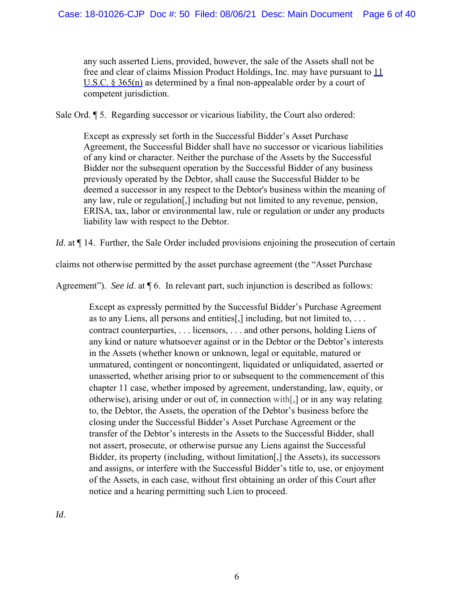any such asserted Liens, provided, however, the sale of the Assets shall not be free and clear of claims Mission Product Holdings, Inc. may have pursuant to 11 U.S.C. § 365(n) as determined by a final non-appealable order by a court of competent jurisdiction.

Sale Ord. ¶ 5. Regarding successor or vicarious liability, the Court also ordered:

Except as expressly set forth in the Successful Bidder's Asset Purchase Agreement, the Successful Bidder shall have no successor or vicarious liabilities of any kind or character. Neither the purchase of the Assets by the Successful Bidder nor the subsequent operation by the Successful Bidder of any business previously operated by the Debtor, shall cause the Successful Bidder to be deemed a successor in any respect to the Debtor's business within the meaning of any law, rule or regulation[,] including but not limited to any revenue, pension, ERISA, tax, labor or environmental law, rule or regulation or under any products liability law with respect to the Debtor.

*Id.* at  $\P$  14. Further, the Sale Order included provisions enjoining the prosecution of certain

claims not otherwise permitted by the asset purchase agreement (the "Asset Purchase

Agreement"). *See id*. at ¶ 6. In relevant part, such injunction is described as follows:

Except as expressly permitted by the Successful Bidder's Purchase Agreement as to any Liens, all persons and entities[,] including, but not limited to, . . . contract counterparties, . . . licensors, . . . and other persons, holding Liens of any kind or nature whatsoever against or in the Debtor or the Debtor's interests in the Assets (whether known or unknown, legal or equitable, matured or unmatured, contingent or noncontingent, liquidated or unliquidated, asserted or unasserted, whether arising prior to or subsequent to the commencement of this chapter 11 case, whether imposed by agreement, understanding, law, equity, or otherwise), arising under or out of, in connection with[,] or in any way relating to, the Debtor, the Assets, the operation of the Debtor's business before the closing under the Successful Bidder's Asset Purchase Agreement or the transfer of the Debtor's interests in the Assets to the Successful Bidder, shall not assert, prosecute, or otherwise pursue any Liens against the Successful Bidder, its property (including, without limitation[,] the Assets), its successors and assigns, or interfere with the Successful Bidder's title to, use, or enjoyment of the Assets, in each case, without first obtaining an order of this Court after notice and a hearing permitting such Lien to proceed.

*Id*.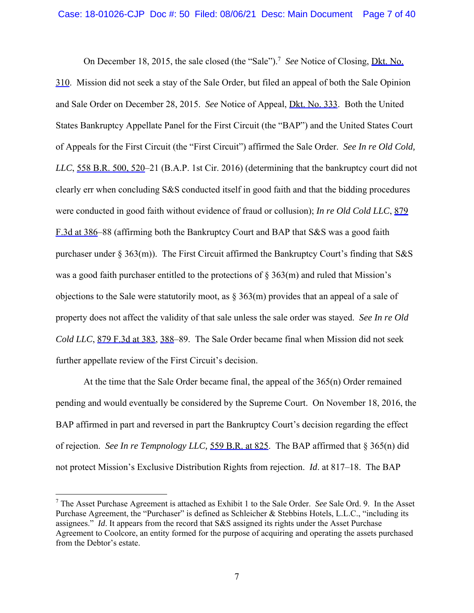On December 18, 2015, the sale closed (the "Sale").<sup>7</sup> See Notice of Closing, **Dkt. No.** 310. Mission did not seek a stay of the Sale Order, but filed an appeal of both the Sale Opinion and Sale Order on December 28, 2015. *See* Notice of Appeal, Dkt. No. 333. Both the United States Bankruptcy Appellate Panel for the First Circuit (the "BAP") and the United States Court of Appeals for the First Circuit (the "First Circuit") affirmed the Sale Order. *See In re Old Cold, LLC*, 558 B.R. 500, 520–21 (B.A.P. 1st Cir. 2016) (determining that the bankruptcy court did not clearly err when concluding S&S conducted itself in good faith and that the bidding procedures were conducted in good faith without evidence of fraud or collusion); *In re Old Cold LLC*, 879 F.3d at 386–88 (affirming both the Bankruptcy Court and BAP that S&S was a good faith purchaser under § 363(m)). The First Circuit affirmed the Bankruptcy Court's finding that S&S was a good faith purchaser entitled to the protections of  $\S 363(m)$  and ruled that Mission's objections to the Sale were statutorily moot, as  $\S 363(m)$  provides that an appeal of a sale of property does not affect the validity of that sale unless the sale order was stayed. *See In re Old Cold LLC*, 879 F.3d at 383, 388–89. The Sale Order became final when Mission did not seek further appellate review of the First Circuit's decision.

 At the time that the Sale Order became final, the appeal of the 365(n) Order remained pending and would eventually be considered by the Supreme Court. On November 18, 2016, the BAP affirmed in part and reversed in part the Bankruptcy Court's decision regarding the effect of rejection. *See In re Tempnology LLC,* 559 B.R. at 825. The BAP affirmed that § 365(n) did not protect Mission's Exclusive Distribution Rights from rejection. *Id*. at 817–18. The BAP

<sup>7</sup> The Asset Purchase Agreement is attached as Exhibit 1 to the Sale Order. *See* Sale Ord. 9. In the Asset Purchase Agreement, the "Purchaser" is defined as Schleicher & Stebbins Hotels, L.L.C., "including its assignees." *Id*. It appears from the record that S&S assigned its rights under the Asset Purchase Agreement to Coolcore, an entity formed for the purpose of acquiring and operating the assets purchased from the Debtor's estate.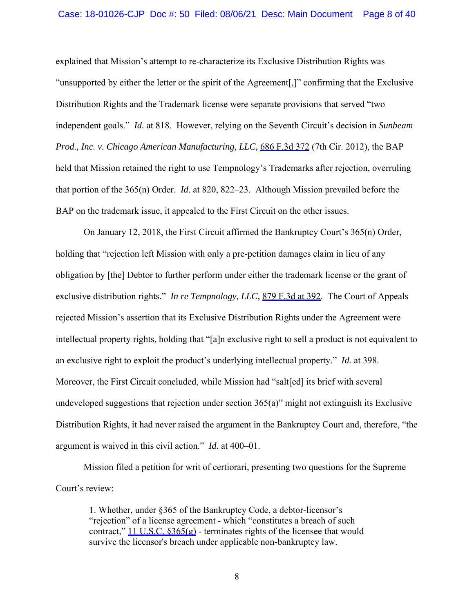explained that Mission's attempt to re-characterize its Exclusive Distribution Rights was "unsupported by either the letter or the spirit of the Agreement[,]" confirming that the Exclusive Distribution Rights and the Trademark license were separate provisions that served "two independent goals." *Id.* at 818. However, relying on the Seventh Circuit's decision in *Sunbeam Prod., Inc. v. Chicago American Manufacturing, LLC,* 686 F.3d 372 (7th Cir. 2012), the BAP held that Mission retained the right to use Tempnology's Trademarks after rejection, overruling that portion of the 365(n) Order. *Id*. at 820, 822–23. Although Mission prevailed before the BAP on the trademark issue, it appealed to the First Circuit on the other issues.

 On January 12, 2018, the First Circuit affirmed the Bankruptcy Court's 365(n) Order, holding that "rejection left Mission with only a pre-petition damages claim in lieu of any obligation by [the] Debtor to further perform under either the trademark license or the grant of exclusive distribution rights." *In re Tempnology, LLC*, 879 F.3d at 392. The Court of Appeals rejected Mission's assertion that its Exclusive Distribution Rights under the Agreement were intellectual property rights, holding that "[a]n exclusive right to sell a product is not equivalent to an exclusive right to exploit the product's underlying intellectual property." *Id.* at 398. Moreover, the First Circuit concluded, while Mission had "salt[ed] its brief with several undeveloped suggestions that rejection under section 365(a)" might not extinguish its Exclusive Distribution Rights, it had never raised the argument in the Bankruptcy Court and, therefore, "the argument is waived in this civil action." *Id.* at 400–01.

Mission filed a petition for writ of certiorari, presenting two questions for the Supreme Court's review:

1. Whether, under §365 of the Bankruptcy Code, a debtor-licensor's "rejection" of a license agreement - which "constitutes a breach of such contract," 11 U.S.C.  $8365(g)$  - terminates rights of the licensee that would survive the licensor's breach under applicable non-bankruptcy law.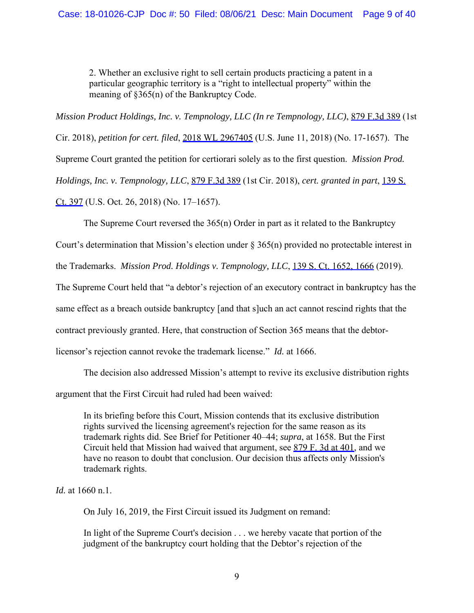2. Whether an exclusive right to sell certain products practicing a patent in a particular geographic territory is a "right to intellectual property" within the meaning of §365(n) of the Bankruptcy Code.

*Mission Product Holdings, Inc. v. Tempnology, LLC (In re Tempnology, LLC)*, 879 F.3d 389 (1st Cir. 2018), *petition for cert. filed*, 2018 WL 2967405 (U.S. June 11, 2018) (No. 17-1657). The Supreme Court granted the petition for certiorari solely as to the first question. *Mission Prod. Holdings, Inc. v. Tempnology, LLC*, 879 F.3d 389 (1st Cir. 2018), *cert. granted in part*, 139 S. Ct. 397 (U.S. Oct. 26, 2018) (No. 17–1657).

The Supreme Court reversed the 365(n) Order in part as it related to the Bankruptcy

Court's determination that Mission's election under § 365(n) provided no protectable interest in

the Trademarks. *Mission Prod. Holdings v. Tempnology, LLC*, 139 S. Ct. 1652, 1666 (2019).

The Supreme Court held that "a debtor's rejection of an executory contract in bankruptcy has the

same effect as a breach outside bankruptcy [and that s]uch an act cannot rescind rights that the

contract previously granted. Here, that construction of Section 365 means that the debtor-

licensor's rejection cannot revoke the trademark license." *Id.* at 1666.

The decision also addressed Mission's attempt to revive its exclusive distribution rights argument that the First Circuit had ruled had been waived:

In its briefing before this Court, Mission contends that its exclusive distribution rights survived the licensing agreement's rejection for the same reason as its trademark rights did. See Brief for Petitioner 40–44; *supra*, at 1658. But the First Circuit held that Mission had waived that argument, see 879 F. 3d at 401, and we have no reason to doubt that conclusion. Our decision thus affects only Mission's trademark rights.

*Id.* at 1660 n.1.

On July 16, 2019, the First Circuit issued its Judgment on remand:

In light of the Supreme Court's decision . . . we hereby vacate that portion of the judgment of the bankruptcy court holding that the Debtor's rejection of the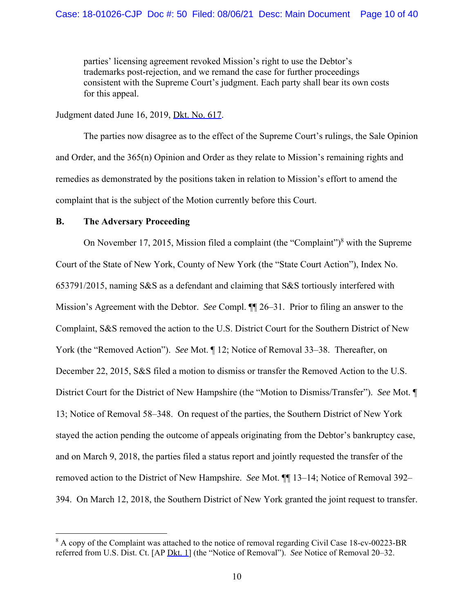parties' licensing agreement revoked Mission's right to use the Debtor's trademarks post-rejection, and we remand the case for further proceedings consistent with the Supreme Court's judgment. Each party shall bear its own costs for this appeal.

Judgment dated June 16, 2019, Dkt. No. 617.

The parties now disagree as to the effect of the Supreme Court's rulings, the Sale Opinion and Order, and the 365(n) Opinion and Order as they relate to Mission's remaining rights and remedies as demonstrated by the positions taken in relation to Mission's effort to amend the complaint that is the subject of the Motion currently before this Court.

## **B. The Adversary Proceeding**

On November 17, 2015, Mission filed a complaint (the "Complaint") $8$  with the Supreme Court of the State of New York, County of New York (the "State Court Action"), Index No. 653791/2015, naming S&S as a defendant and claiming that S&S tortiously interfered with Mission's Agreement with the Debtor. *See* Compl. ¶¶ 26–31. Prior to filing an answer to the Complaint, S&S removed the action to the U.S. District Court for the Southern District of New York (the "Removed Action"). *See* Mot. ¶ 12; Notice of Removal 33–38. Thereafter, on December 22, 2015, S&S filed a motion to dismiss or transfer the Removed Action to the U.S. District Court for the District of New Hampshire (the "Motion to Dismiss/Transfer"). *See* Mot. ¶ 13; Notice of Removal 58–348. On request of the parties, the Southern District of New York stayed the action pending the outcome of appeals originating from the Debtor's bankruptcy case, and on March 9, 2018, the parties filed a status report and jointly requested the transfer of the removed action to the District of New Hampshire. *See* Mot. ¶¶ 13–14; Notice of Removal 392– 394. On March 12, 2018, the Southern District of New York granted the joint request to transfer.

 $8$  A copy of the Complaint was attached to the notice of removal regarding Civil Case 18-cv-00223-BR referred from U.S. Dist. Ct. [AP Dkt. 1] (the "Notice of Removal"). *See* Notice of Removal 20–32.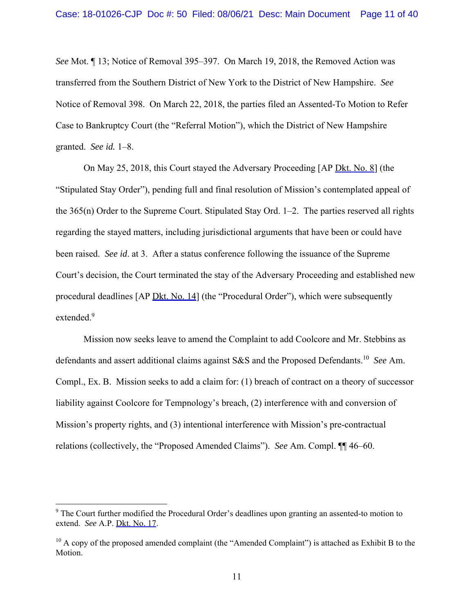*See* Mot. ¶ 13; Notice of Removal 395–397. On March 19, 2018, the Removed Action was transferred from the Southern District of New York to the District of New Hampshire. *See*  Notice of Removal 398. On March 22, 2018, the parties filed an Assented-To Motion to Refer Case to Bankruptcy Court (the "Referral Motion"), which the District of New Hampshire granted. *See id.* 1–8.

On May 25, 2018, this Court stayed the Adversary Proceeding [AP Dkt. No. 8] (the "Stipulated Stay Order"), pending full and final resolution of Mission's contemplated appeal of the 365(n) Order to the Supreme Court. Stipulated Stay Ord. 1–2. The parties reserved all rights regarding the stayed matters, including jurisdictional arguments that have been or could have been raised. *See id*. at 3. After a status conference following the issuance of the Supreme Court's decision, the Court terminated the stay of the Adversary Proceeding and established new procedural deadlines [AP Dkt. No. 14] (the "Procedural Order"), which were subsequently extended.<sup>9</sup>

Mission now seeks leave to amend the Complaint to add Coolcore and Mr. Stebbins as defendants and assert additional claims against S&S and the Proposed Defendants.10 *See* Am. Compl., Ex. B. Mission seeks to add a claim for: (1) breach of contract on a theory of successor liability against Coolcore for Tempnology's breach, (2) interference with and conversion of Mission's property rights, and (3) intentional interference with Mission's pre-contractual relations (collectively, the "Proposed Amended Claims"). *See* Am. Compl. ¶¶ 46–60.

<sup>&</sup>lt;sup>9</sup> The Court further modified the Procedural Order's deadlines upon granting an assented-to motion to extend. *See* A.P. Dkt. No. 17.

 $10$  A copy of the proposed amended complaint (the "Amended Complaint") is attached as Exhibit B to the Motion.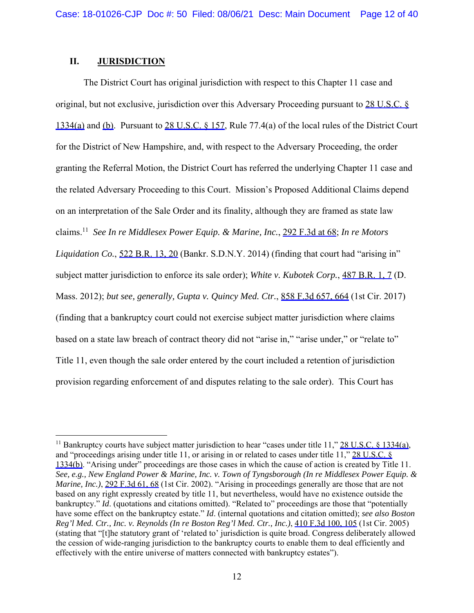## **II. JURISDICTION**

 The District Court has original jurisdiction with respect to this Chapter 11 case and original, but not exclusive, jurisdiction over this Adversary Proceeding pursuant to 28 U.S.C. § 1334(a) and (b). Pursuant to 28 U.S.C. § 157, Rule 77.4(a) of the local rules of the District Court for the District of New Hampshire, and, with respect to the Adversary Proceeding, the order granting the Referral Motion, the District Court has referred the underlying Chapter 11 case and the related Adversary Proceeding to this Court. Mission's Proposed Additional Claims depend on an interpretation of the Sale Order and its finality, although they are framed as state law claims.11 *See In re Middlesex Power Equip. & Marine, Inc.*, 292 F.3d at 68; *In re Motors Liquidation Co.*, 522 B.R. 13, 20 (Bankr. S.D.N.Y. 2014) (finding that court had "arising in" subject matter jurisdiction to enforce its sale order); *White v. Kubotek Corp.*, 487 B.R. 1, 7 (D. Mass. 2012); *but see, generally, Gupta v. Quincy Med. Ctr.*, 858 F.3d 657, 664 (1st Cir. 2017) (finding that a bankruptcy court could not exercise subject matter jurisdiction where claims based on a state law breach of contract theory did not "arise in," "arise under," or "relate to" Title 11, even though the sale order entered by the court included a retention of jurisdiction provision regarding enforcement of and disputes relating to the sale order). This Court has

<sup>&</sup>lt;sup>11</sup> Bankruptcy courts have subject matter jurisdiction to hear "cases under title 11," 28 U.S.C. § 1334(a), and "proceedings arising under title 11, or arising in or related to cases under title 11," 28 U.S.C. § 1334(b). "Arising under" proceedings are those cases in which the cause of action is created by Title 11. *See, e.g., New England Power & Marine, Inc. v. Town of Tyngsborough (In re Middlesex Power Equip. & Marine, Inc.*), 292 F.3d 61, 68 (1st Cir. 2002). "Arising in proceedings generally are those that are not based on any right expressly created by title 11, but nevertheless, would have no existence outside the bankruptcy." *Id*. (quotations and citations omitted). "Related to" proceedings are those that "potentially have some effect on the bankruptcy estate." *Id*. (internal quotations and citation omitted); *see also Boston Reg'l Med. Ctr., Inc. v. Reynolds (In re Boston Reg'l Med. Ctr., Inc.)*, 410 F.3d 100, 105 (1st Cir. 2005) (stating that "[t]he statutory grant of 'related to' jurisdiction is quite broad. Congress deliberately allowed the cession of wide-ranging jurisdiction to the bankruptcy courts to enable them to deal efficiently and effectively with the entire universe of matters connected with bankruptcy estates").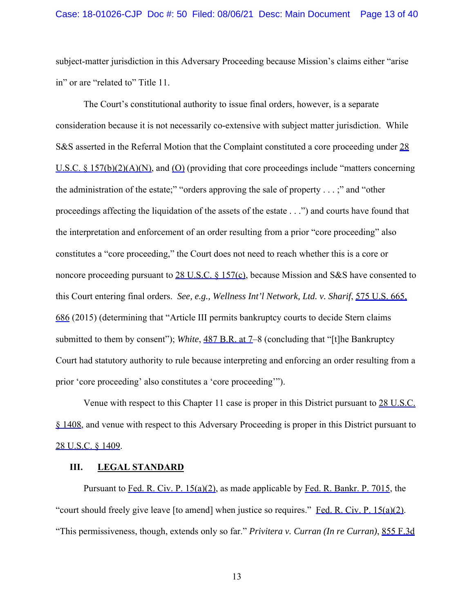subject-matter jurisdiction in this Adversary Proceeding because Mission's claims either "arise in" or are "related to" Title 11.

The Court's constitutional authority to issue final orders, however, is a separate consideration because it is not necessarily co-extensive with subject matter jurisdiction. While S&S asserted in the Referral Motion that the Complaint constituted a core proceeding under 28 U.S.C.  $\&$  157(b)(2)(A)(N), and (O) (providing that core proceedings include "matters concerning the administration of the estate;" "orders approving the sale of property  $\dots$ ;" and "other proceedings affecting the liquidation of the assets of the estate . . .") and courts have found that the interpretation and enforcement of an order resulting from a prior "core proceeding" also constitutes a "core proceeding," the Court does not need to reach whether this is a core or noncore proceeding pursuant to 28 U.S.C. § 157(c), because Mission and S&S have consented to this Court entering final orders. *See, e.g., Wellness Int'l Network, Ltd. v. Sharif*, 575 U.S. 665, 686 (2015) (determining that "Article III permits bankruptcy courts to decide Stern claims submitted to them by consent"); *White*, 487 B.R. at 7–8 (concluding that "[t]he Bankruptcy Court had statutory authority to rule because interpreting and enforcing an order resulting from a prior 'core proceeding' also constitutes a 'core proceeding'").

Venue with respect to this Chapter 11 case is proper in this District pursuant to 28 U.S.C. § 1408, and venue with respect to this Adversary Proceeding is proper in this District pursuant to 28 U.S.C. § 1409.

### **III. LEGAL STANDARD**

Pursuant to Fed. R. Civ. P. 15(a)(2), as made applicable by Fed. R. Bankr. P. 7015, the "court should freely give leave [to amend] when justice so requires." Fed. R. Civ. P.  $15(a)(2)$ . "This permissiveness, though, extends only so far." *Privitera v. Curran (In re Curran)*, 855 F.3d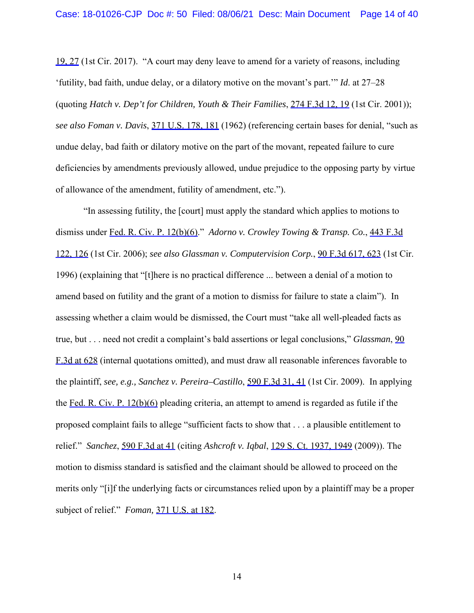19, 27 (1st Cir. 2017). "A court may deny leave to amend for a variety of reasons, including 'futility, bad faith, undue delay, or a dilatory motive on the movant's part.'" *Id*. at 27–28 (quoting *Hatch v. Dep't for Children, Youth & Their Families*, 274 F.3d 12, 19 (1st Cir. 2001)); *see also Foman v. Davis*, 371 U.S. 178, 181 (1962) (referencing certain bases for denial, "such as undue delay, bad faith or dilatory motive on the part of the movant, repeated failure to cure deficiencies by amendments previously allowed, undue prejudice to the opposing party by virtue of allowance of the amendment, futility of amendment, etc.").

 "In assessing futility, the [court] must apply the standard which applies to motions to dismiss under Fed. R. Civ. P. 12(b)(6)." *Adorno v. Crowley Towing & Transp. Co.*, 443 F.3d 122, 126 (1st Cir. 2006); *see also Glassman v. Computervision Corp.*, 90 F.3d 617, 623 (1st Cir. 1996) (explaining that "[t]here is no practical difference ... between a denial of a motion to amend based on futility and the grant of a motion to dismiss for failure to state a claim"). In assessing whether a claim would be dismissed, the Court must "take all well-pleaded facts as true, but . . . need not credit a complaint's bald assertions or legal conclusions," *Glassman*, 90 F.3d at 628 (internal quotations omitted), and must draw all reasonable inferences favorable to the plaintiff, *see, e.g., Sanchez v. Pereira–Castillo*, 590 F.3d 31, 41 (1st Cir. 2009). In applying the Fed. R. Civ. P. 12(b)(6) pleading criteria, an attempt to amend is regarded as futile if the proposed complaint fails to allege "sufficient facts to show that . . . a plausible entitlement to relief." *Sanchez*, 590 F.3d at 41 (citing *Ashcroft v. Iqbal*, 129 S. Ct. 1937, 1949 (2009)). The motion to dismiss standard is satisfied and the claimant should be allowed to proceed on the merits only "[i]f the underlying facts or circumstances relied upon by a plaintiff may be a proper subject of relief." *Foman,* 371 U.S. at 182.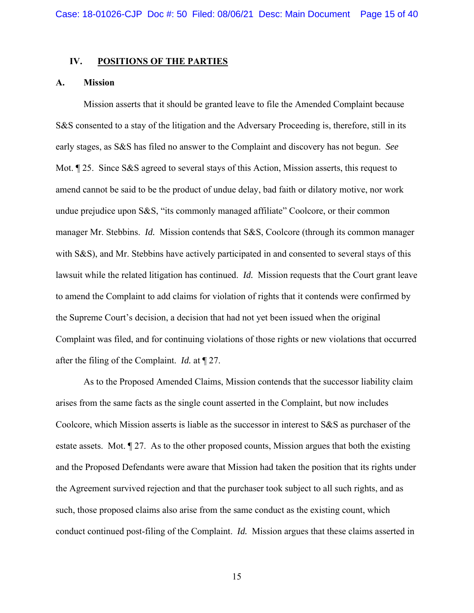#### **IV. POSITIONS OF THE PARTIES**

#### **A. Mission**

Mission asserts that it should be granted leave to file the Amended Complaint because S&S consented to a stay of the litigation and the Adversary Proceeding is, therefore, still in its early stages, as S&S has filed no answer to the Complaint and discovery has not begun. *See*  Mot.  $\parallel$  25. Since S&S agreed to several stays of this Action, Mission asserts, this request to amend cannot be said to be the product of undue delay, bad faith or dilatory motive, nor work undue prejudice upon S&S, "its commonly managed affiliate" Coolcore, or their common manager Mr. Stebbins. *Id.* Mission contends that S&S, Coolcore (through its common manager with S&S), and Mr. Stebbins have actively participated in and consented to several stays of this lawsuit while the related litigation has continued. *Id.* Mission requests that the Court grant leave to amend the Complaint to add claims for violation of rights that it contends were confirmed by the Supreme Court's decision, a decision that had not yet been issued when the original Complaint was filed, and for continuing violations of those rights or new violations that occurred after the filing of the Complaint. *Id.* at ¶ 27.

As to the Proposed Amended Claims, Mission contends that the successor liability claim arises from the same facts as the single count asserted in the Complaint, but now includes Coolcore, which Mission asserts is liable as the successor in interest to S&S as purchaser of the estate assets. Mot. ¶ 27. As to the other proposed counts, Mission argues that both the existing and the Proposed Defendants were aware that Mission had taken the position that its rights under the Agreement survived rejection and that the purchaser took subject to all such rights, and as such, those proposed claims also arise from the same conduct as the existing count, which conduct continued post-filing of the Complaint. *Id.* Mission argues that these claims asserted in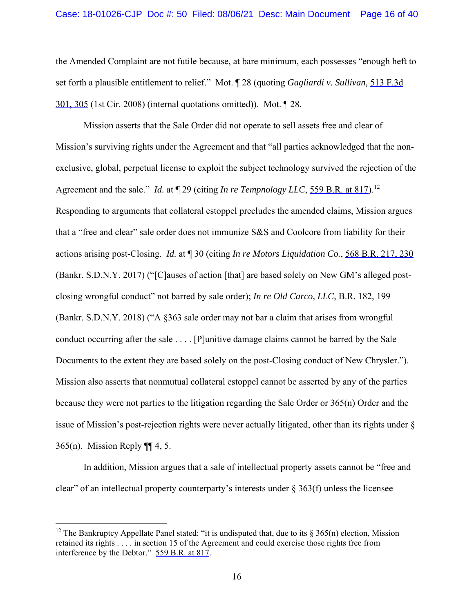the Amended Complaint are not futile because, at bare minimum, each possesses "enough heft to set forth a plausible entitlement to relief." Mot. ¶ 28 (quoting *Gagliardi v. Sullivan,* 513 F.3d 301, 305 (1st Cir. 2008) (internal quotations omitted)). Mot. ¶ 28.

Mission asserts that the Sale Order did not operate to sell assets free and clear of Mission's surviving rights under the Agreement and that "all parties acknowledged that the nonexclusive, global, perpetual license to exploit the subject technology survived the rejection of the Agreement and the sale." *Id.* at  $\P$  29 (citing *In re Tempnology LLC*, 559 B.R. at 817).<sup>12</sup> Responding to arguments that collateral estoppel precludes the amended claims, Mission argues that a "free and clear" sale order does not immunize S&S and Coolcore from liability for their actions arising post-Closing. *Id.* at ¶ 30 (citing *In re Motors Liquidation Co.*, 568 B.R. 217, 230 (Bankr. S.D.N.Y. 2017) ("[C]auses of action [that] are based solely on New GM's alleged postclosing wrongful conduct" not barred by sale order); *In re Old Carco, LLC*, B.R. 182, 199 (Bankr. S.D.N.Y. 2018) ("A §363 sale order may not bar a claim that arises from wrongful conduct occurring after the sale . . . . [P]unitive damage claims cannot be barred by the Sale Documents to the extent they are based solely on the post-Closing conduct of New Chrysler."). Mission also asserts that nonmutual collateral estoppel cannot be asserted by any of the parties because they were not parties to the litigation regarding the Sale Order or 365(n) Order and the issue of Mission's post-rejection rights were never actually litigated, other than its rights under § 365(n). Mission Reply ¶¶ 4, 5.

In addition, Mission argues that a sale of intellectual property assets cannot be "free and clear" of an intellectual property counterparty's interests under  $\S 363(f)$  unless the licensee

<sup>&</sup>lt;sup>12</sup> The Bankruptcy Appellate Panel stated: "it is undisputed that, due to its  $\S 365(n)$  election, Mission retained its rights . . . . in section 15 of the Agreement and could exercise those rights free from interference by the Debtor." 559 B.R. at 817.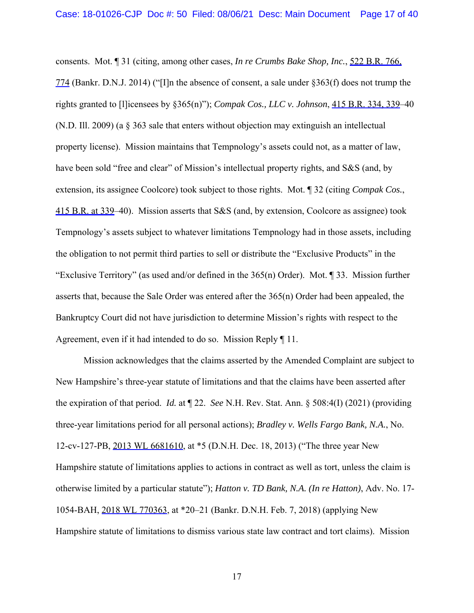consents. Mot. ¶ 31 (citing, among other cases, *In re Crumbs Bake Shop, Inc.*, 522 B.R. 766, 774 (Bankr. D.N.J. 2014) ("[I]n the absence of consent, a sale under §363(f) does not trump the rights granted to [l]icensees by §365(n)"); *Compak Cos., LLC v. Johnson*, 415 B.R. 334, 339–40 (N.D. Ill. 2009) (a § 363 sale that enters without objection may extinguish an intellectual property license). Mission maintains that Tempnology's assets could not, as a matter of law, have been sold "free and clear" of Mission's intellectual property rights, and S&S (and, by extension, its assignee Coolcore) took subject to those rights. Mot. ¶ 32 (citing *Compak Cos.*, 415 B.R. at 339–40). Mission asserts that S&S (and, by extension, Coolcore as assignee) took Tempnology's assets subject to whatever limitations Tempnology had in those assets, including the obligation to not permit third parties to sell or distribute the "Exclusive Products" in the "Exclusive Territory" (as used and/or defined in the  $365(n)$  Order). Mot. 1 33. Mission further asserts that, because the Sale Order was entered after the 365(n) Order had been appealed, the Bankruptcy Court did not have jurisdiction to determine Mission's rights with respect to the Agreement, even if it had intended to do so. Mission Reply ¶ 11.

Mission acknowledges that the claims asserted by the Amended Complaint are subject to New Hampshire's three-year statute of limitations and that the claims have been asserted after the expiration of that period. *Id.* at ¶ 22. *See* N.H. Rev. Stat. Ann. § 508:4(I) (2021) (providing three-year limitations period for all personal actions); *Bradley v. Wells Fargo Bank, N.A.*, No. 12-cv-127-PB, 2013 WL 6681610, at \*5 (D.N.H. Dec. 18, 2013) ("The three year New Hampshire statute of limitations applies to actions in contract as well as tort, unless the claim is otherwise limited by a particular statute"); *Hatton v. TD Bank, N.A. (In re Hatton)*, Adv. No. 17- 1054-BAH, 2018 WL 770363, at \*20–21 (Bankr. D.N.H. Feb. 7, 2018) (applying New Hampshire statute of limitations to dismiss various state law contract and tort claims). Mission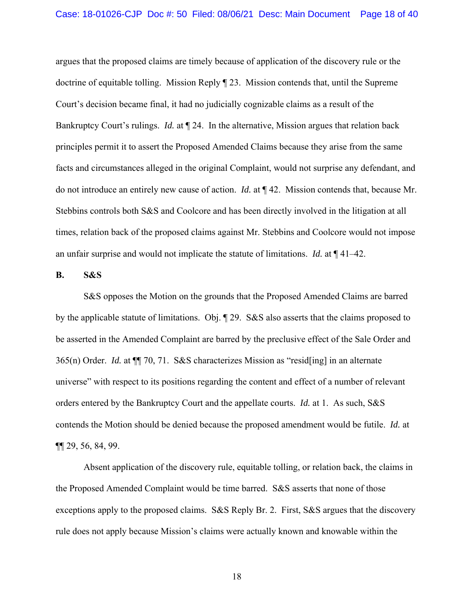argues that the proposed claims are timely because of application of the discovery rule or the doctrine of equitable tolling. Mission Reply ¶ 23. Mission contends that, until the Supreme Court's decision became final, it had no judicially cognizable claims as a result of the Bankruptcy Court's rulings. *Id.* at ¶ 24. In the alternative, Mission argues that relation back principles permit it to assert the Proposed Amended Claims because they arise from the same facts and circumstances alleged in the original Complaint, would not surprise any defendant, and do not introduce an entirely new cause of action. *Id.* at ¶ 42. Mission contends that, because Mr. Stebbins controls both S&S and Coolcore and has been directly involved in the litigation at all times, relation back of the proposed claims against Mr. Stebbins and Coolcore would not impose an unfair surprise and would not implicate the statute of limitations. *Id.* at ¶ 41–42.

#### **B. S&S**

S&S opposes the Motion on the grounds that the Proposed Amended Claims are barred by the applicable statute of limitations. Obj. ¶ 29. S&S also asserts that the claims proposed to be asserted in the Amended Complaint are barred by the preclusive effect of the Sale Order and 365(n) Order. *Id.* at ¶¶ 70, 71. S&S characterizes Mission as "resid[ing] in an alternate universe" with respect to its positions regarding the content and effect of a number of relevant orders entered by the Bankruptcy Court and the appellate courts. *Id.* at 1. As such, S&S contends the Motion should be denied because the proposed amendment would be futile. *Id.* at ¶¶ 29, 56, 84, 99.

Absent application of the discovery rule, equitable tolling, or relation back, the claims in the Proposed Amended Complaint would be time barred. S&S asserts that none of those exceptions apply to the proposed claims. S&S Reply Br. 2. First, S&S argues that the discovery rule does not apply because Mission's claims were actually known and knowable within the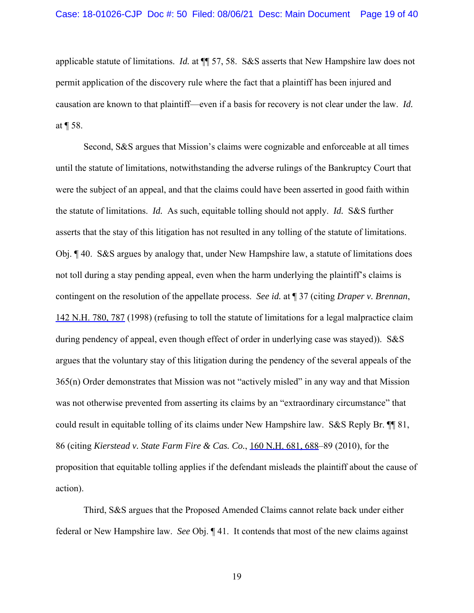applicable statute of limitations. *Id.* at ¶¶ 57, 58. S&S asserts that New Hampshire law does not permit application of the discovery rule where the fact that a plaintiff has been injured and causation are known to that plaintiff—even if a basis for recovery is not clear under the law. *Id.* at ¶ 58.

 Second, S&S argues that Mission's claims were cognizable and enforceable at all times until the statute of limitations, notwithstanding the adverse rulings of the Bankruptcy Court that were the subject of an appeal, and that the claims could have been asserted in good faith within the statute of limitations. *Id.* As such, equitable tolling should not apply. *Id.* S&S further asserts that the stay of this litigation has not resulted in any tolling of the statute of limitations. Obj. ¶ 40. S&S argues by analogy that, under New Hampshire law, a statute of limitations does not toll during a stay pending appeal, even when the harm underlying the plaintiff's claims is contingent on the resolution of the appellate process. *See id.* at ¶ 37 (citing *Draper v. Brennan*, 142 N.H. 780, 787 (1998) (refusing to toll the statute of limitations for a legal malpractice claim during pendency of appeal, even though effect of order in underlying case was stayed)). S&S argues that the voluntary stay of this litigation during the pendency of the several appeals of the 365(n) Order demonstrates that Mission was not "actively misled" in any way and that Mission was not otherwise prevented from asserting its claims by an "extraordinary circumstance" that could result in equitable tolling of its claims under New Hampshire law. S&S Reply Br. ¶¶ 81, 86 (citing *Kierstead v. State Farm Fire & Cas. Co.*, 160 N.H. 681, 688–89 (2010), for the proposition that equitable tolling applies if the defendant misleads the plaintiff about the cause of action).

 Third, S&S argues that the Proposed Amended Claims cannot relate back under either federal or New Hampshire law. *See* Obj. ¶ 41. It contends that most of the new claims against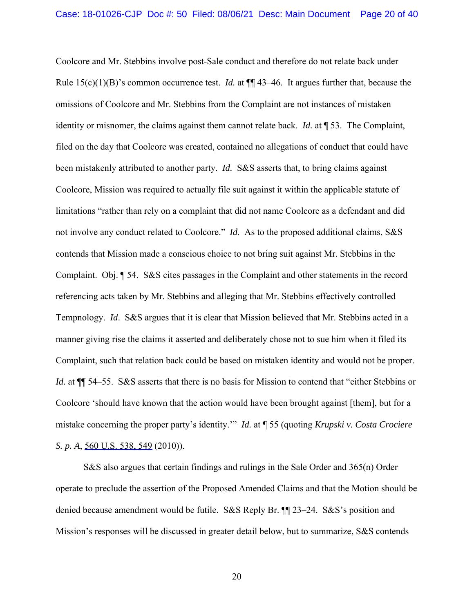Coolcore and Mr. Stebbins involve post-Sale conduct and therefore do not relate back under Rule  $15(c)(1)(B)$ 's common occurrence test. *Id.* at  $\P\P$  43–46. It argues further that, because the omissions of Coolcore and Mr. Stebbins from the Complaint are not instances of mistaken identity or misnomer, the claims against them cannot relate back. *Id.* at ¶ 53. The Complaint, filed on the day that Coolcore was created, contained no allegations of conduct that could have been mistakenly attributed to another party. *Id.* S&S asserts that, to bring claims against Coolcore, Mission was required to actually file suit against it within the applicable statute of limitations "rather than rely on a complaint that did not name Coolcore as a defendant and did not involve any conduct related to Coolcore." *Id.* As to the proposed additional claims, S&S contends that Mission made a conscious choice to not bring suit against Mr. Stebbins in the Complaint. Obj. ¶ 54. S&S cites passages in the Complaint and other statements in the record referencing acts taken by Mr. Stebbins and alleging that Mr. Stebbins effectively controlled Tempnology. *Id*. S&S argues that it is clear that Mission believed that Mr. Stebbins acted in a manner giving rise the claims it asserted and deliberately chose not to sue him when it filed its Complaint, such that relation back could be based on mistaken identity and would not be proper. *Id.* at  $\P$  54–55. S&S asserts that there is no basis for Mission to contend that "either Stebbins or Coolcore 'should have known that the action would have been brought against [them], but for a mistake concerning the proper party's identity.'" *Id.* at ¶ 55 (quoting *Krupski v. Costa Crociere S. p. A, 560 U.S. 538, 549 (2010)).* 

S&S also argues that certain findings and rulings in the Sale Order and 365(n) Order operate to preclude the assertion of the Proposed Amended Claims and that the Motion should be denied because amendment would be futile. S&S Reply Br. ¶¶ 23–24. S&S's position and Mission's responses will be discussed in greater detail below, but to summarize, S&S contends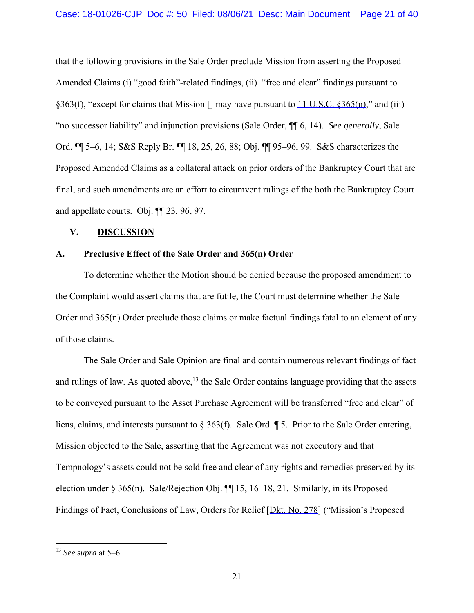that the following provisions in the Sale Order preclude Mission from asserting the Proposed Amended Claims (i) "good faith"-related findings, (ii) "free and clear" findings pursuant to §363(f), "except for claims that Mission [] may have pursuant to 11 U.S.C. §365(n)," and (iii) "no successor liability" and injunction provisions (Sale Order, ¶¶ 6, 14). *See generally*, Sale Ord. ¶¶ 5–6, 14; S&S Reply Br. ¶¶ 18, 25, 26, 88; Obj. ¶¶ 95–96, 99. S&S characterizes the Proposed Amended Claims as a collateral attack on prior orders of the Bankruptcy Court that are final, and such amendments are an effort to circumvent rulings of the both the Bankruptcy Court and appellate courts. Obj. ¶¶ 23, 96, 97.

### **V. DISCUSSION**

### **A. Preclusive Effect of the Sale Order and 365(n) Order**

To determine whether the Motion should be denied because the proposed amendment to the Complaint would assert claims that are futile, the Court must determine whether the Sale Order and 365(n) Order preclude those claims or make factual findings fatal to an element of any of those claims.

The Sale Order and Sale Opinion are final and contain numerous relevant findings of fact and rulings of law. As quoted above,  $13$  the Sale Order contains language providing that the assets to be conveyed pursuant to the Asset Purchase Agreement will be transferred "free and clear" of liens, claims, and interests pursuant to § 363(f). Sale Ord. ¶ 5. Prior to the Sale Order entering, Mission objected to the Sale, asserting that the Agreement was not executory and that Tempnology's assets could not be sold free and clear of any rights and remedies preserved by its election under § 365(n). Sale/Rejection Obj. ¶¶ 15, 16–18, 21. Similarly, in its Proposed Findings of Fact, Conclusions of Law, Orders for Relief [Dkt. No. 278] ("Mission's Proposed

<sup>13</sup> *See supra* at 5–6.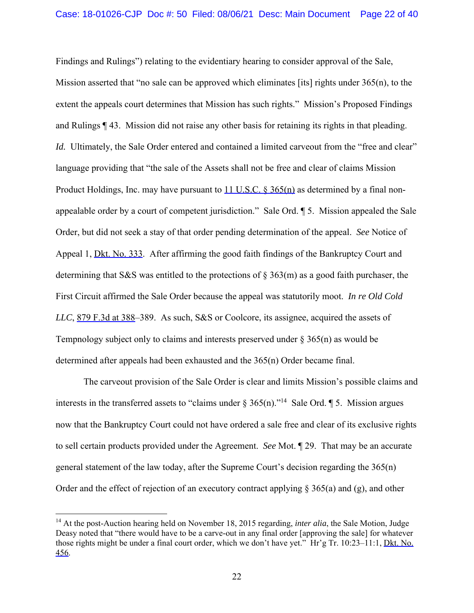Findings and Rulings") relating to the evidentiary hearing to consider approval of the Sale, Mission asserted that "no sale can be approved which eliminates [its] rights under  $365(n)$ , to the extent the appeals court determines that Mission has such rights." Mission's Proposed Findings and Rulings ¶ 43. Mission did not raise any other basis for retaining its rights in that pleading. *Id.* Ultimately, the Sale Order entered and contained a limited carveout from the "free and clear" language providing that "the sale of the Assets shall not be free and clear of claims Mission Product Holdings, Inc. may have pursuant to 11 U.S.C. § 365(n) as determined by a final nonappealable order by a court of competent jurisdiction." Sale Ord. ¶ 5. Mission appealed the Sale Order, but did not seek a stay of that order pending determination of the appeal. *See* Notice of Appeal 1, **Dkt. No. 333.** After affirming the good faith findings of the Bankruptcy Court and determining that S&S was entitled to the protections of  $\S 363(m)$  as a good faith purchaser, the First Circuit affirmed the Sale Order because the appeal was statutorily moot. *In re Old Cold LLC*, 879 F.3d at 388–389. As such, S&S or Coolcore, its assignee, acquired the assets of Tempnology subject only to claims and interests preserved under § 365(n) as would be determined after appeals had been exhausted and the 365(n) Order became final.

The carveout provision of the Sale Order is clear and limits Mission's possible claims and interests in the transferred assets to "claims under  $\S 365(n)$ ."<sup>14</sup> Sale Ord. 15. Mission argues now that the Bankruptcy Court could not have ordered a sale free and clear of its exclusive rights to sell certain products provided under the Agreement. *See* Mot. ¶ 29. That may be an accurate general statement of the law today, after the Supreme Court's decision regarding the 365(n) Order and the effect of rejection of an executory contract applying § 365(a) and (g), and other

<sup>&</sup>lt;sup>14</sup> At the post-Auction hearing held on November 18, 2015 regarding, *inter alia*, the Sale Motion, Judge Deasy noted that "there would have to be a carve-out in any final order [approving the sale] for whatever those rights might be under a final court order, which we don't have yet." Hr'g Tr. 10:23–11:1, Dkt. No. 456.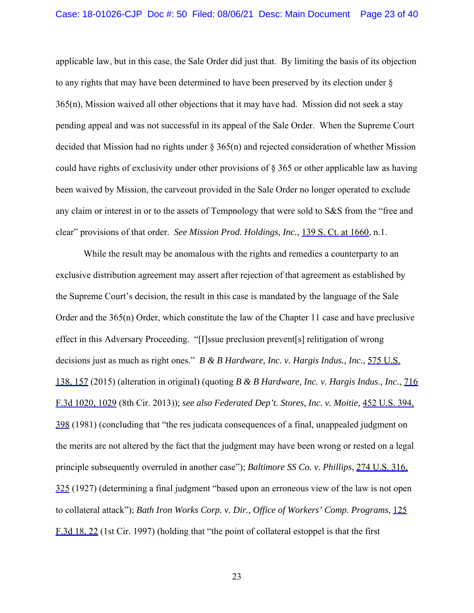applicable law, but in this case, the Sale Order did just that. By limiting the basis of its objection to any rights that may have been determined to have been preserved by its election under § 365(n), Mission waived all other objections that it may have had. Mission did not seek a stay pending appeal and was not successful in its appeal of the Sale Order. When the Supreme Court decided that Mission had no rights under § 365(n) and rejected consideration of whether Mission could have rights of exclusivity under other provisions of § 365 or other applicable law as having been waived by Mission, the carveout provided in the Sale Order no longer operated to exclude any claim or interest in or to the assets of Tempnology that were sold to S&S from the "free and clear" provisions of that order. *See Mission Prod. Holdings, Inc.*, 139 S. Ct. at 1660, n.1.

While the result may be anomalous with the rights and remedies a counterparty to an exclusive distribution agreement may assert after rejection of that agreement as established by the Supreme Court's decision, the result in this case is mandated by the language of the Sale Order and the 365(n) Order, which constitute the law of the Chapter 11 case and have preclusive effect in this Adversary Proceeding. "[I]ssue preclusion prevent[s] relitigation of wrong decisions just as much as right ones." *B & B Hardware, Inc. v. Hargis Indus., Inc.*, 575 U.S. 138, 157 (2015) (alteration in original) (quoting *B & B Hardware, Inc. v. Hargis Indus., Inc.*, 716 F.3d 1020, 1029 (8th Cir. 2013)); *see also Federated Dep't. Stores, Inc. v. Moitie,* 452 U.S. 394, 398 (1981) (concluding that "the res judicata consequences of a final, unappealed judgment on the merits are not altered by the fact that the judgment may have been wrong or rested on a legal principle subsequently overruled in another case"); *Baltimore SS Co. v. Phillips*, 274 U.S. 316, 325 (1927) (determining a final judgment "based upon an erroneous view of the law is not open to collateral attack"); *Bath Iron Works Corp. v. Dir., Office of Workers' Comp. Programs*, 125 F.3d 18, 22 (1st Cir. 1997) (holding that "the point of collateral estoppel is that the first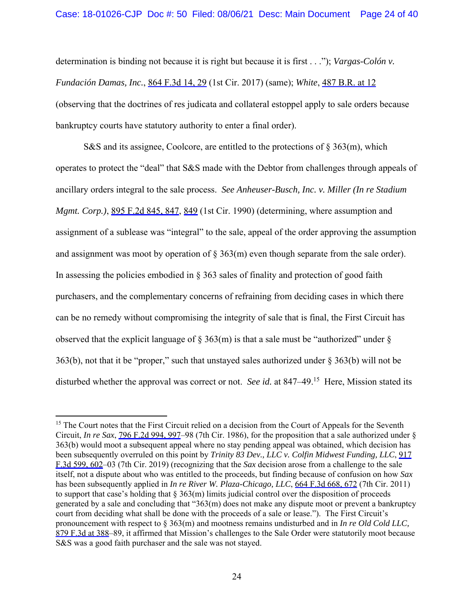determination is binding not because it is right but because it is first . . ."); *Vargas-Colón v. Fundación Damas, Inc.*, 864 F.3d 14, 29 (1st Cir. 2017) (same); *White*, 487 B.R. at 12 (observing that the doctrines of res judicata and collateral estoppel apply to sale orders because bankruptcy courts have statutory authority to enter a final order).

S&S and its assignee, Coolcore, are entitled to the protections of  $\S 363(m)$ , which operates to protect the "deal" that S&S made with the Debtor from challenges through appeals of ancillary orders integral to the sale process. *See Anheuser-Busch, Inc. v. Miller (In re Stadium Mgmt. Corp.)*, 895 F.2d 845, 847, 849 (1st Cir. 1990) (determining, where assumption and assignment of a sublease was "integral" to the sale, appeal of the order approving the assumption and assignment was moot by operation of  $\S 363(m)$  even though separate from the sale order). In assessing the policies embodied in § 363 sales of finality and protection of good faith purchasers, and the complementary concerns of refraining from deciding cases in which there can be no remedy without compromising the integrity of sale that is final, the First Circuit has observed that the explicit language of  $\S 363(m)$  is that a sale must be "authorized" under  $\S$ 363(b), not that it be "proper," such that unstayed sales authorized under § 363(b) will not be disturbed whether the approval was correct or not. *See id.* at 847–49.15 Here, Mission stated its

<sup>&</sup>lt;sup>15</sup> The Court notes that the First Circuit relied on a decision from the Court of Appeals for the Seventh Circuit, *In re Sax*, 796 F.2d 994, 997–98 (7th Cir. 1986), for the proposition that a sale authorized under § 363(b) would moot a subsequent appeal where no stay pending appeal was obtained, which decision has been subsequently overruled on this point by *Trinity 83 Dev., LLC v. Colfin Midwest Funding, LLC*, 917 F.3d 599, 602–03 (7th Cir. 2019) (recognizing that the *Sax* decision arose from a challenge to the sale itself, not a dispute about who was entitled to the proceeds, but finding because of confusion on how *Sax*  has been subsequently applied in *In re River W. Plaza-Chicago, LLC*, 664 F.3d 668, 672 (7th Cir. 2011) to support that case's holding that  $\S 363(m)$  limits judicial control over the disposition of proceeds generated by a sale and concluding that "363(m) does not make any dispute moot or prevent a bankruptcy court from deciding what shall be done with the proceeds of a sale or lease."). The First Circuit's pronouncement with respect to § 363(m) and mootness remains undisturbed and in *In re Old Cold LLC,*  879 F.3d at 388–89, it affirmed that Mission's challenges to the Sale Order were statutorily moot because S&S was a good faith purchaser and the sale was not stayed.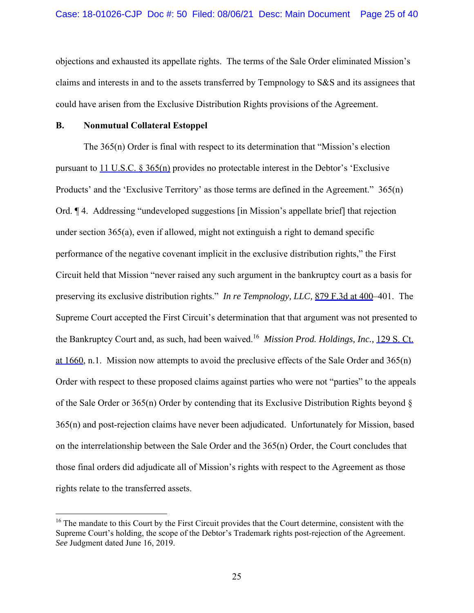objections and exhausted its appellate rights. The terms of the Sale Order eliminated Mission's claims and interests in and to the assets transferred by Tempnology to S&S and its assignees that could have arisen from the Exclusive Distribution Rights provisions of the Agreement.

#### **B. Nonmutual Collateral Estoppel**

The 365(n) Order is final with respect to its determination that "Mission's election pursuant to  $11 \text{ U.S.C. }$   $\frac{8365(n)}{n}$  provides no protectable interest in the Debtor's 'Exclusive Products' and the 'Exclusive Territory' as those terms are defined in the Agreement." 365(n) Ord. ¶ 4. Addressing "undeveloped suggestions [in Mission's appellate brief] that rejection under section 365(a), even if allowed, might not extinguish a right to demand specific performance of the negative covenant implicit in the exclusive distribution rights," the First Circuit held that Mission "never raised any such argument in the bankruptcy court as a basis for preserving its exclusive distribution rights." *In re Tempnology, LLC,* 879 F.3d at 400–401. The Supreme Court accepted the First Circuit's determination that that argument was not presented to the Bankruptcy Court and, as such, had been waived.16 *Mission Prod. Holdings, Inc.,* 129 S. Ct. at 1660, n.1. Mission now attempts to avoid the preclusive effects of the Sale Order and 365(n) Order with respect to these proposed claims against parties who were not "parties" to the appeals of the Sale Order or 365(n) Order by contending that its Exclusive Distribution Rights beyond § 365(n) and post-rejection claims have never been adjudicated. Unfortunately for Mission, based on the interrelationship between the Sale Order and the 365(n) Order, the Court concludes that those final orders did adjudicate all of Mission's rights with respect to the Agreement as those rights relate to the transferred assets.

<sup>&</sup>lt;sup>16</sup> The mandate to this Court by the First Circuit provides that the Court determine, consistent with the Supreme Court's holding, the scope of the Debtor's Trademark rights post-rejection of the Agreement. *See* Judgment dated June 16, 2019.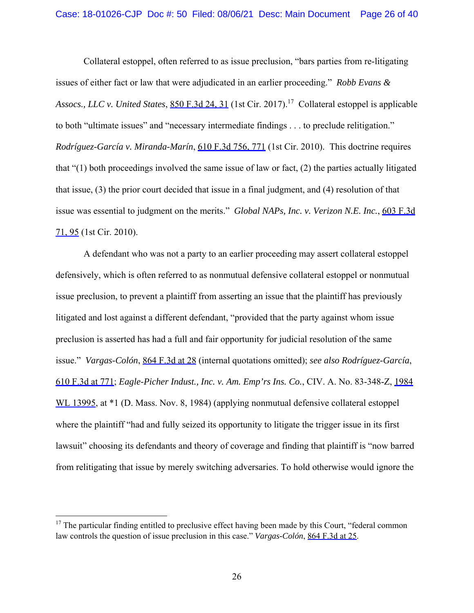Collateral estoppel, often referred to as issue preclusion, "bars parties from re-litigating issues of either fact or law that were adjudicated in an earlier proceeding." *Robb Evans & Assocs., LLC v. United States*, 850 F.3d 24, 31 (1st Cir. 2017).17 Collateral estoppel is applicable to both "ultimate issues" and "necessary intermediate findings . . . to preclude relitigation." *Rodríguez-García v. Miranda-Marín*, 610 F.3d 756, 771 (1st Cir. 2010). This doctrine requires that " $(1)$  both proceedings involved the same issue of law or fact,  $(2)$  the parties actually litigated that issue, (3) the prior court decided that issue in a final judgment, and (4) resolution of that issue was essential to judgment on the merits." *Global NAPs, Inc. v. Verizon N.E. Inc.*, 603 F.3d 71, 95 (1st Cir. 2010).

A defendant who was not a party to an earlier proceeding may assert collateral estoppel defensively, which is often referred to as nonmutual defensive collateral estoppel or nonmutual issue preclusion, to prevent a plaintiff from asserting an issue that the plaintiff has previously litigated and lost against a different defendant, "provided that the party against whom issue preclusion is asserted has had a full and fair opportunity for judicial resolution of the same issue." *Vargas-Colón*, 864 F.3d at 28 (internal quotations omitted); *see also Rodríguez-García*, 610 F.3d at 771; *Eagle-Picher Indust., Inc. v. Am. Emp'rs Ins. Co.*, CIV. A. No. 83-348-Z, 1984 WL 13995, at  $*1$  (D. Mass. Nov. 8, 1984) (applying nonmutual defensive collateral estoppel where the plaintiff "had and fully seized its opportunity to litigate the trigger issue in its first lawsuit" choosing its defendants and theory of coverage and finding that plaintiff is "now barred from relitigating that issue by merely switching adversaries. To hold otherwise would ignore the

 $17$  The particular finding entitled to preclusive effect having been made by this Court, "federal common law controls the question of issue preclusion in this case." *Vargas-Colón*, 864 F.3d at 25.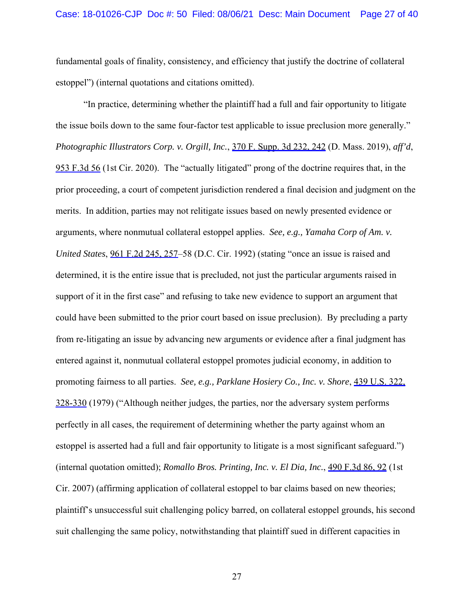fundamental goals of finality, consistency, and efficiency that justify the doctrine of collateral estoppel") (internal quotations and citations omitted).

"In practice, determining whether the plaintiff had a full and fair opportunity to litigate the issue boils down to the same four-factor test applicable to issue preclusion more generally." *Photographic Illustrators Corp. v. Orgill, Inc.*, 370 F. Supp. 3d 232, 242 (D. Mass. 2019), *aff'd*, 953 F.3d 56 (1st Cir. 2020). The "actually litigated" prong of the doctrine requires that, in the prior proceeding, a court of competent jurisdiction rendered a final decision and judgment on the merits. In addition, parties may not relitigate issues based on newly presented evidence or arguments, where nonmutual collateral estoppel applies. *See, e.g., Yamaha Corp of Am. v. United States*, 961 F.2d 245, 257–58 (D.C. Cir. 1992) (stating "once an issue is raised and determined, it is the entire issue that is precluded, not just the particular arguments raised in support of it in the first case" and refusing to take new evidence to support an argument that could have been submitted to the prior court based on issue preclusion). By precluding a party from re-litigating an issue by advancing new arguments or evidence after a final judgment has entered against it, nonmutual collateral estoppel promotes judicial economy, in addition to promoting fairness to all parties. *See, e.g., Parklane Hosiery Co., Inc. v. Shore*, 439 U.S. 322, 328-330 (1979) ("Although neither judges, the parties, nor the adversary system performs perfectly in all cases, the requirement of determining whether the party against whom an estoppel is asserted had a full and fair opportunity to litigate is a most significant safeguard.") (internal quotation omitted); *Romallo Bros. Printing, Inc. v. El Dia, Inc.*, 490 F.3d 86, 92 (1st Cir. 2007) (affirming application of collateral estoppel to bar claims based on new theories; plaintiff's unsuccessful suit challenging policy barred, on collateral estoppel grounds, his second suit challenging the same policy, notwithstanding that plaintiff sued in different capacities in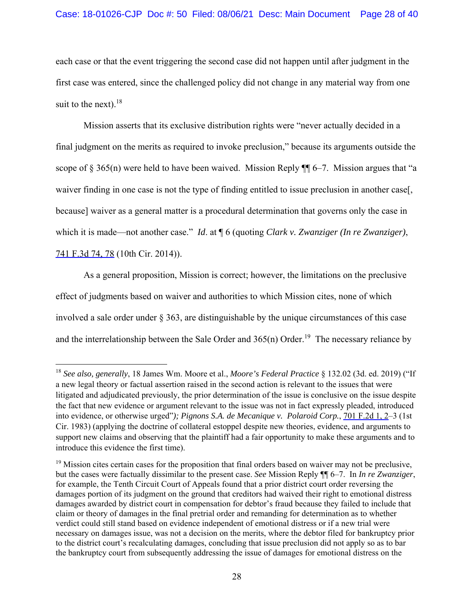each case or that the event triggering the second case did not happen until after judgment in the first case was entered, since the challenged policy did not change in any material way from one suit to the next). $18$ 

Mission asserts that its exclusive distribution rights were "never actually decided in a final judgment on the merits as required to invoke preclusion," because its arguments outside the scope of § 365(n) were held to have been waived. Mission Reply  $\P$  6–7. Mission argues that "a waiver finding in one case is not the type of finding entitled to issue preclusion in another case[, because] waiver as a general matter is a procedural determination that governs only the case in which it is made—not another case." *Id*. at ¶ 6 (quoting *Clark v. Zwanziger (In re Zwanziger)*, 741 F.3d 74, 78 (10th Cir. 2014)).

As a general proposition, Mission is correct; however, the limitations on the preclusive effect of judgments based on waiver and authorities to which Mission cites, none of which involved a sale order under § 363, are distinguishable by the unique circumstances of this case and the interrelationship between the Sale Order and  $365(n)$  Order.<sup>19</sup> The necessary reliance by

<sup>18</sup> *See also, generally*, 18 James Wm. Moore et al., *Moore's Federal Practice* § 132.02 (3d. ed. 2019) ("If a new legal theory or factual assertion raised in the second action is relevant to the issues that were litigated and adjudicated previously, the prior determination of the issue is conclusive on the issue despite the fact that new evidence or argument relevant to the issue was not in fact expressly pleaded, introduced into evidence, or otherwise urged"*); Pignons S.A. de Mecanique v. Polaroid Corp.*, 701 F.2d 1, 2–3 (1st Cir. 1983) (applying the doctrine of collateral estoppel despite new theories, evidence, and arguments to support new claims and observing that the plaintiff had a fair opportunity to make these arguments and to introduce this evidence the first time).

<sup>&</sup>lt;sup>19</sup> Mission cites certain cases for the proposition that final orders based on waiver may not be preclusive, but the cases were factually dissimilar to the present case. *See* Mission Reply ¶¶ 6–7. In *In re Zwanziger*, for example, the Tenth Circuit Court of Appeals found that a prior district court order reversing the damages portion of its judgment on the ground that creditors had waived their right to emotional distress damages awarded by district court in compensation for debtor's fraud because they failed to include that claim or theory of damages in the final pretrial order and remanding for determination as to whether verdict could still stand based on evidence independent of emotional distress or if a new trial were necessary on damages issue, was not a decision on the merits, where the debtor filed for bankruptcy prior to the district court's recalculating damages, concluding that issue preclusion did not apply so as to bar the bankruptcy court from subsequently addressing the issue of damages for emotional distress on the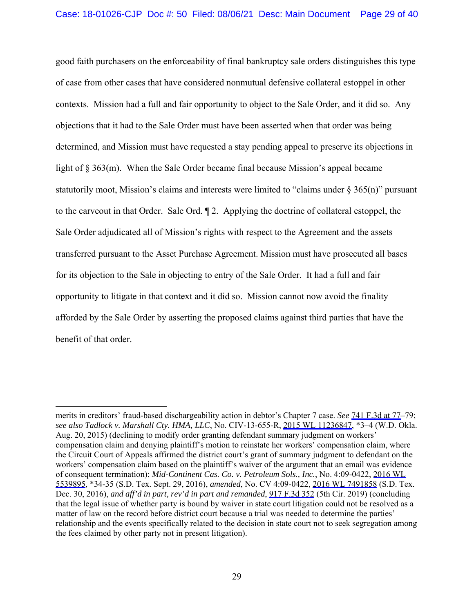good faith purchasers on the enforceability of final bankruptcy sale orders distinguishes this type of case from other cases that have considered nonmutual defensive collateral estoppel in other contexts. Mission had a full and fair opportunity to object to the Sale Order, and it did so. Any objections that it had to the Sale Order must have been asserted when that order was being determined, and Mission must have requested a stay pending appeal to preserve its objections in light of § 363(m). When the Sale Order became final because Mission's appeal became statutorily moot, Mission's claims and interests were limited to "claims under  $\S 365(n)$ " pursuant to the carveout in that Order. Sale Ord. ¶ 2. Applying the doctrine of collateral estoppel, the Sale Order adjudicated all of Mission's rights with respect to the Agreement and the assets transferred pursuant to the Asset Purchase Agreement. Mission must have prosecuted all bases for its objection to the Sale in objecting to entry of the Sale Order. It had a full and fair opportunity to litigate in that context and it did so. Mission cannot now avoid the finality afforded by the Sale Order by asserting the proposed claims against third parties that have the benefit of that order.

merits in creditors' fraud-based dischargeability action in debtor's Chapter 7 case. *See* 741 F.3d at 77–79; *see also Tadlock v. Marshall Cty. HMA, LLC*, No. CIV-13-655-R, 2015 WL 11236847, \*3–4 (W.D. Okla. Aug. 20, 2015) (declining to modify order granting defendant summary judgment on workers' compensation claim and denying plaintiff's motion to reinstate her workers' compensation claim, where the Circuit Court of Appeals affirmed the district court's grant of summary judgment to defendant on the workers' compensation claim based on the plaintiff's waiver of the argument that an email was evidence of consequent termination); *Mid-Continent Cas. Co. v. Petroleum Sols., Inc.*, No. 4:09-0422, 2016 WL 5539895, \*34-35 (S.D. Tex. Sept. 29, 2016), *amended*, No. CV 4:09-0422, 2016 WL 7491858 (S.D. Tex. Dec. 30, 2016), *and aff'd in part, rev'd in part and remanded*, 917 F.3d 352 (5th Cir. 2019) (concluding that the legal issue of whether party is bound by waiver in state court litigation could not be resolved as a matter of law on the record before district court because a trial was needed to determine the parties' relationship and the events specifically related to the decision in state court not to seek segregation among the fees claimed by other party not in present litigation).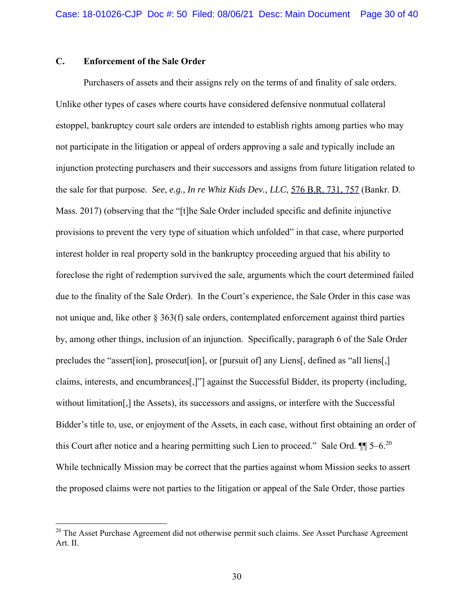## **C. Enforcement of the Sale Order**

Purchasers of assets and their assigns rely on the terms of and finality of sale orders. Unlike other types of cases where courts have considered defensive nonmutual collateral estoppel, bankruptcy court sale orders are intended to establish rights among parties who may not participate in the litigation or appeal of orders approving a sale and typically include an injunction protecting purchasers and their successors and assigns from future litigation related to the sale for that purpose. *See, e.g., In re Whiz Kids Dev., LLC*, 576 B.R. 731, 757 (Bankr. D. Mass. 2017) (observing that the "[t]he Sale Order included specific and definite injunctive provisions to prevent the very type of situation which unfolded" in that case, where purported interest holder in real property sold in the bankruptcy proceeding argued that his ability to foreclose the right of redemption survived the sale, arguments which the court determined failed due to the finality of the Sale Order). In the Court's experience, the Sale Order in this case was not unique and, like other § 363(f) sale orders, contemplated enforcement against third parties by, among other things, inclusion of an injunction. Specifically, paragraph 6 of the Sale Order precludes the "assert [ion], prosecut [ion], or [pursuit of] any Liens [, defined as "all liens [,] claims, interests, and encumbrances[,]"] against the Successful Bidder, its property (including, without limitation[,] the Assets), its successors and assigns, or interfere with the Successful Bidder's title to, use, or enjoyment of the Assets, in each case, without first obtaining an order of this Court after notice and a hearing permitting such Lien to proceed." Sale Ord.  $\P$   $\sim$  5–6.<sup>20</sup> While technically Mission may be correct that the parties against whom Mission seeks to assert the proposed claims were not parties to the litigation or appeal of the Sale Order, those parties

<sup>20</sup> The Asset Purchase Agreement did not otherwise permit such claims. *See* Asset Purchase Agreement Art. II.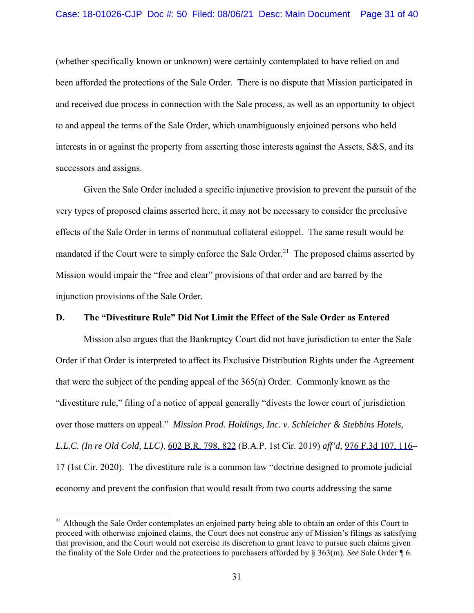(whether specifically known or unknown) were certainly contemplated to have relied on and been afforded the protections of the Sale Order. There is no dispute that Mission participated in and received due process in connection with the Sale process, as well as an opportunity to object to and appeal the terms of the Sale Order, which unambiguously enjoined persons who held interests in or against the property from asserting those interests against the Assets, S&S, and its successors and assigns.

Given the Sale Order included a specific injunctive provision to prevent the pursuit of the very types of proposed claims asserted here, it may not be necessary to consider the preclusive effects of the Sale Order in terms of nonmutual collateral estoppel. The same result would be mandated if the Court were to simply enforce the Sale Order.<sup>21</sup> The proposed claims asserted by Mission would impair the "free and clear" provisions of that order and are barred by the injunction provisions of the Sale Order.

### **D. The "Divestiture Rule" Did Not Limit the Effect of the Sale Order as Entered**

Mission also argues that the Bankruptcy Court did not have jurisdiction to enter the Sale Order if that Order is interpreted to affect its Exclusive Distribution Rights under the Agreement that were the subject of the pending appeal of the 365(n) Order. Commonly known as the "divestiture rule," filing of a notice of appeal generally "divests the lower court of jurisdiction over those matters on appeal." *Mission Prod. Holdings, Inc. v. Schleicher & Stebbins Hotels, L.L.C. (In re Old Cold, LLC)*, 602 B.R. 798, 822 (B.A.P. 1st Cir. 2019) *aff'd,* 976 F.3d 107, 116– 17 (1st Cir. 2020). The divestiture rule is a common law "doctrine designed to promote judicial economy and prevent the confusion that would result from two courts addressing the same

<sup>&</sup>lt;sup>21</sup> Although the Sale Order contemplates an enjoined party being able to obtain an order of this Court to proceed with otherwise enjoined claims, the Court does not construe any of Mission's filings as satisfying that provision, and the Court would not exercise its discretion to grant leave to pursue such claims given the finality of the Sale Order and the protections to purchasers afforded by § 363(m). *See* Sale Order ¶ 6.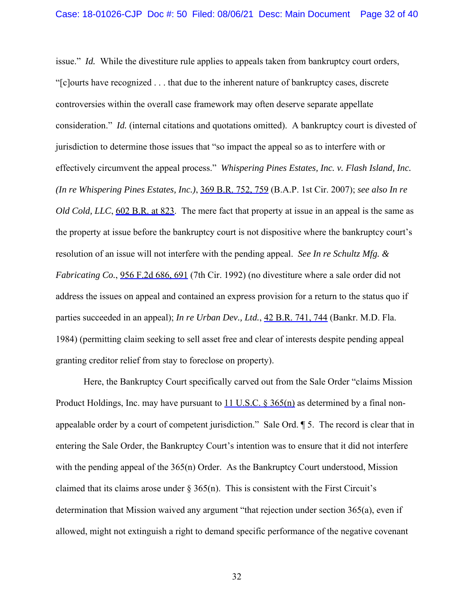issue." *Id.* While the divestiture rule applies to appeals taken from bankruptcy court orders, "[c]ourts have recognized . . . that due to the inherent nature of bankruptcy cases, discrete controversies within the overall case framework may often deserve separate appellate consideration." *Id.* (internal citations and quotations omitted). A bankruptcy court is divested of jurisdiction to determine those issues that "so impact the appeal so as to interfere with or effectively circumvent the appeal process." *Whispering Pines Estates, Inc. v. Flash Island, Inc. (In re Whispering Pines Estates, Inc.)*, 369 B.R. 752, 759 (B.A.P. 1st Cir. 2007); *see also In re Old Cold, LLC*, 602 B.R. at 823. The mere fact that property at issue in an appeal is the same as the property at issue before the bankruptcy court is not dispositive where the bankruptcy court's resolution of an issue will not interfere with the pending appeal. *See In re Schultz Mfg. & Fabricating Co.*, 956 F.2d 686, 691 (7th Cir. 1992) (no divestiture where a sale order did not address the issues on appeal and contained an express provision for a return to the status quo if parties succeeded in an appeal); *In re Urban Dev., Ltd.*, 42 B.R. 741, 744 (Bankr. M.D. Fla. 1984) (permitting claim seeking to sell asset free and clear of interests despite pending appeal granting creditor relief from stay to foreclose on property).

 Here, the Bankruptcy Court specifically carved out from the Sale Order "claims Mission Product Holdings, Inc. may have pursuant to  $11 \text{ U.S.C.}$  §  $365(n)$  as determined by a final nonappealable order by a court of competent jurisdiction." Sale Ord. ¶ 5. The record is clear that in entering the Sale Order, the Bankruptcy Court's intention was to ensure that it did not interfere with the pending appeal of the 365(n) Order. As the Bankruptcy Court understood, Mission claimed that its claims arose under  $\S 365(n)$ . This is consistent with the First Circuit's determination that Mission waived any argument "that rejection under section 365(a), even if allowed, might not extinguish a right to demand specific performance of the negative covenant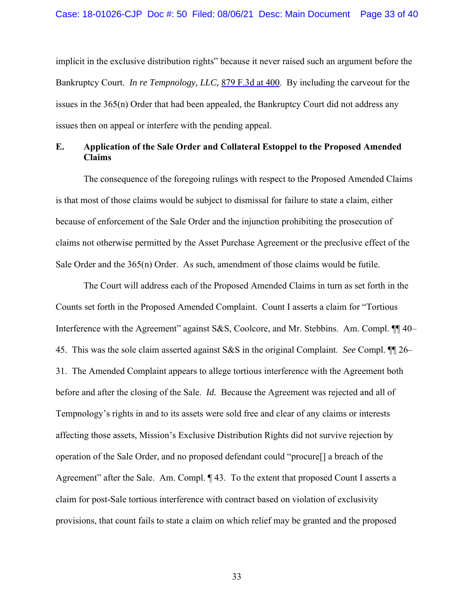implicit in the exclusive distribution rights" because it never raised such an argument before the Bankruptcy Court. *In re Tempnology, LLC,* 879 F.3d at 400. By including the carveout for the issues in the 365(n) Order that had been appealed, the Bankruptcy Court did not address any issues then on appeal or interfere with the pending appeal.

## **E. Application of the Sale Order and Collateral Estoppel to the Proposed Amended Claims**

The consequence of the foregoing rulings with respect to the Proposed Amended Claims is that most of those claims would be subject to dismissal for failure to state a claim, either because of enforcement of the Sale Order and the injunction prohibiting the prosecution of claims not otherwise permitted by the Asset Purchase Agreement or the preclusive effect of the Sale Order and the 365(n) Order. As such, amendment of those claims would be futile.

The Court will address each of the Proposed Amended Claims in turn as set forth in the Counts set forth in the Proposed Amended Complaint. Count I asserts a claim for "Tortious Interference with the Agreement" against S&S, Coolcore, and Mr. Stebbins. Am. Compl. ¶¶ 40– 45. This was the sole claim asserted against S&S in the original Complaint. *See* Compl. ¶¶ 26– 31. The Amended Complaint appears to allege tortious interference with the Agreement both before and after the closing of the Sale. *Id.* Because the Agreement was rejected and all of Tempnology's rights in and to its assets were sold free and clear of any claims or interests affecting those assets, Mission's Exclusive Distribution Rights did not survive rejection by operation of the Sale Order, and no proposed defendant could "procure[] a breach of the Agreement" after the Sale. Am. Compl.  $\P$  43. To the extent that proposed Count I asserts a claim for post-Sale tortious interference with contract based on violation of exclusivity provisions, that count fails to state a claim on which relief may be granted and the proposed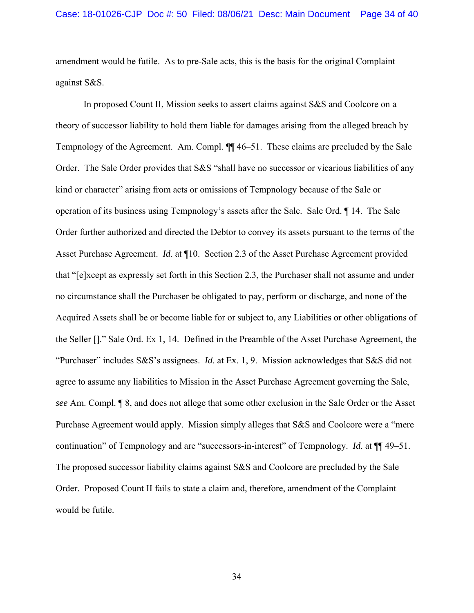amendment would be futile. As to pre-Sale acts, this is the basis for the original Complaint against S&S.

 In proposed Count II, Mission seeks to assert claims against S&S and Coolcore on a theory of successor liability to hold them liable for damages arising from the alleged breach by Tempnology of the Agreement. Am. Compl. ¶¶ 46–51. These claims are precluded by the Sale Order. The Sale Order provides that S&S "shall have no successor or vicarious liabilities of any kind or character" arising from acts or omissions of Tempnology because of the Sale or operation of its business using Tempnology's assets after the Sale. Sale Ord. ¶ 14. The Sale Order further authorized and directed the Debtor to convey its assets pursuant to the terms of the Asset Purchase Agreement. *Id*. at ¶10. Section 2.3 of the Asset Purchase Agreement provided that "[e]xcept as expressly set forth in this Section 2.3, the Purchaser shall not assume and under no circumstance shall the Purchaser be obligated to pay, perform or discharge, and none of the Acquired Assets shall be or become liable for or subject to, any Liabilities or other obligations of the Seller []." Sale Ord. Ex 1, 14. Defined in the Preamble of the Asset Purchase Agreement, the "Purchaser" includes S&S's assignees. *Id*. at Ex. 1, 9. Mission acknowledges that S&S did not agree to assume any liabilities to Mission in the Asset Purchase Agreement governing the Sale, *see* Am. Compl. ¶ 8, and does not allege that some other exclusion in the Sale Order or the Asset Purchase Agreement would apply. Mission simply alleges that S&S and Coolcore were a "mere continuation" of Tempnology and are "successors-in-interest" of Tempnology. *Id*. at ¶¶ 49–51. The proposed successor liability claims against S&S and Coolcore are precluded by the Sale Order. Proposed Count II fails to state a claim and, therefore, amendment of the Complaint would be futile.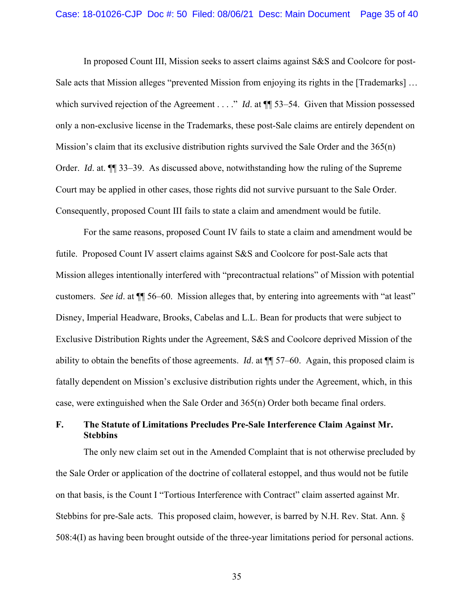In proposed Count III, Mission seeks to assert claims against S&S and Coolcore for post-Sale acts that Mission alleges "prevented Mission from enjoying its rights in the [Trademarks] … which survived rejection of the Agreement . . . ." *Id.* at  $\P$  53–54. Given that Mission possessed only a non-exclusive license in the Trademarks, these post-Sale claims are entirely dependent on Mission's claim that its exclusive distribution rights survived the Sale Order and the 365(n) Order. *Id*. at. ¶¶ 33–39. As discussed above, notwithstanding how the ruling of the Supreme Court may be applied in other cases, those rights did not survive pursuant to the Sale Order. Consequently, proposed Count III fails to state a claim and amendment would be futile.

 For the same reasons, proposed Count IV fails to state a claim and amendment would be futile. Proposed Count IV assert claims against S&S and Coolcore for post-Sale acts that Mission alleges intentionally interfered with "precontractual relations" of Mission with potential customers. *See id*. at ¶¶ 56–60. Mission alleges that, by entering into agreements with "at least" Disney, Imperial Headware, Brooks, Cabelas and L.L. Bean for products that were subject to Exclusive Distribution Rights under the Agreement, S&S and Coolcore deprived Mission of the ability to obtain the benefits of those agreements. *Id*. at ¶¶ 57–60. Again, this proposed claim is fatally dependent on Mission's exclusive distribution rights under the Agreement, which, in this case, were extinguished when the Sale Order and 365(n) Order both became final orders.

## **F. The Statute of Limitations Precludes Pre-Sale Interference Claim Against Mr. Stebbins**

The only new claim set out in the Amended Complaint that is not otherwise precluded by the Sale Order or application of the doctrine of collateral estoppel, and thus would not be futile on that basis, is the Count I "Tortious Interference with Contract" claim asserted against Mr. Stebbins for pre-Sale acts. This proposed claim, however, is barred by N.H. Rev. Stat. Ann. § 508:4(I) as having been brought outside of the three-year limitations period for personal actions.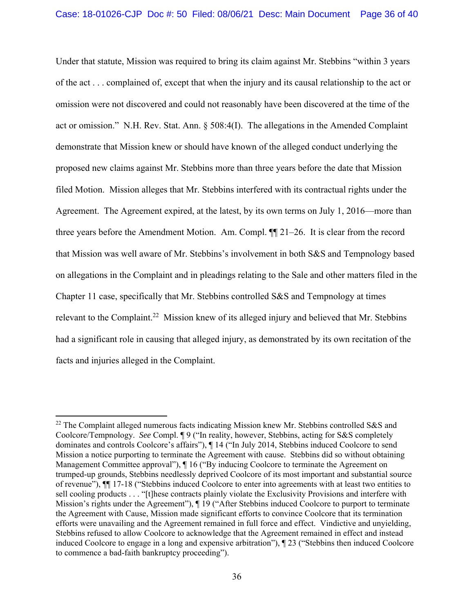Under that statute, Mission was required to bring its claim against Mr. Stebbins "within 3 years of the act . . . complained of, except that when the injury and its causal relationship to the act or omission were not discovered and could not reasonably have been discovered at the time of the act or omission." N.H. Rev. Stat. Ann. § 508:4(I). The allegations in the Amended Complaint demonstrate that Mission knew or should have known of the alleged conduct underlying the proposed new claims against Mr. Stebbins more than three years before the date that Mission filed Motion. Mission alleges that Mr. Stebbins interfered with its contractual rights under the Agreement. The Agreement expired, at the latest, by its own terms on July 1, 2016—more than three years before the Amendment Motion. Am. Compl. ¶¶ 21–26. It is clear from the record that Mission was well aware of Mr. Stebbins's involvement in both S&S and Tempnology based on allegations in the Complaint and in pleadings relating to the Sale and other matters filed in the Chapter 11 case, specifically that Mr. Stebbins controlled S&S and Tempnology at times relevant to the Complaint.<sup>22</sup> Mission knew of its alleged injury and believed that Mr. Stebbins had a significant role in causing that alleged injury, as demonstrated by its own recitation of the facts and injuries alleged in the Complaint.

 $22$  The Complaint alleged numerous facts indicating Mission knew Mr. Stebbins controlled S&S and Coolcore/Tempnology. *See* Compl. ¶ 9 ("In reality, however, Stebbins, acting for S&S completely dominates and controls Coolcore's affairs"), ¶ 14 ("In July 2014, Stebbins induced Coolcore to send Mission a notice purporting to terminate the Agreement with cause. Stebbins did so without obtaining Management Committee approval"), ¶ 16 ("By inducing Coolcore to terminate the Agreement on trumped-up grounds, Stebbins needlessly deprived Coolcore of its most important and substantial source of revenue"), ¶¶ 17-18 ("Stebbins induced Coolcore to enter into agreements with at least two entities to sell cooling products . . . "[t]hese contracts plainly violate the Exclusivity Provisions and interfere with Mission's rights under the Agreement"), ¶ 19 ("After Stebbins induced Coolcore to purport to terminate the Agreement with Cause, Mission made significant efforts to convince Coolcore that its termination efforts were unavailing and the Agreement remained in full force and effect. Vindictive and unyielding, Stebbins refused to allow Coolcore to acknowledge that the Agreement remained in effect and instead induced Coolcore to engage in a long and expensive arbitration"), ¶ 23 ("Stebbins then induced Coolcore to commence a bad-faith bankruptcy proceeding").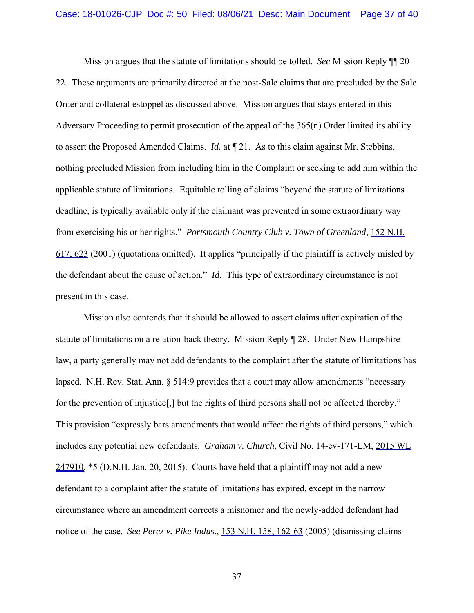Mission argues that the statute of limitations should be tolled. *See* Mission Reply ¶¶ 20– 22. These arguments are primarily directed at the post-Sale claims that are precluded by the Sale Order and collateral estoppel as discussed above. Mission argues that stays entered in this Adversary Proceeding to permit prosecution of the appeal of the 365(n) Order limited its ability to assert the Proposed Amended Claims. *Id.* at ¶ 21. As to this claim against Mr. Stebbins, nothing precluded Mission from including him in the Complaint or seeking to add him within the applicable statute of limitations. Equitable tolling of claims "beyond the statute of limitations deadline, is typically available only if the claimant was prevented in some extraordinary way from exercising his or her rights." *Portsmouth Country Club v. Town of Greenland*, 152 N.H. 617, 623 (2001) (quotations omitted). It applies "principally if the plaintiff is actively misled by the defendant about the cause of action." *Id.* This type of extraordinary circumstance is not present in this case.

 Mission also contends that it should be allowed to assert claims after expiration of the statute of limitations on a relation-back theory. Mission Reply ¶ 28. Under New Hampshire law, a party generally may not add defendants to the complaint after the statute of limitations has lapsed. N.H. Rev. Stat. Ann.  $\S$  514:9 provides that a court may allow amendments "necessary for the prevention of injustice[,] but the rights of third persons shall not be affected thereby." This provision "expressly bars amendments that would affect the rights of third persons," which includes any potential new defendants. *Graham v. Church*, Civil No. 14-cv-171-LM, 2015 WL  $247910$ ,  $*5$  (D.N.H. Jan. 20, 2015). Courts have held that a plaintiff may not add a new defendant to a complaint after the statute of limitations has expired, except in the narrow circumstance where an amendment corrects a misnomer and the newly-added defendant had notice of the case. *See Perez v. Pike Indus.*, 153 N.H. 158, 162-63 (2005) (dismissing claims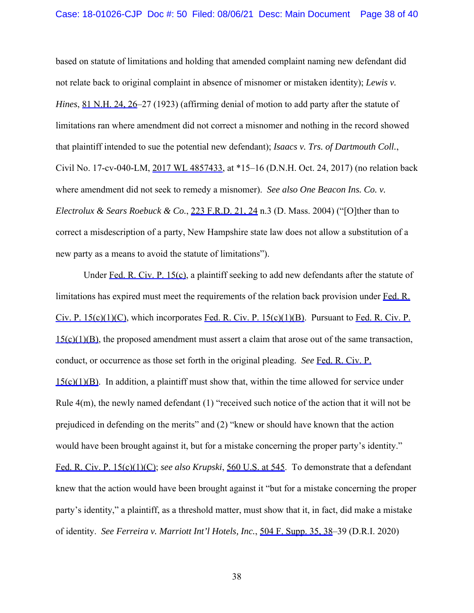based on statute of limitations and holding that amended complaint naming new defendant did not relate back to original complaint in absence of misnomer or mistaken identity); *Lewis v. Hines*, 81 N.H. 24, 26–27 (1923) (affirming denial of motion to add party after the statute of limitations ran where amendment did not correct a misnomer and nothing in the record showed that plaintiff intended to sue the potential new defendant); *Isaacs v. Trs. of Dartmouth Coll.*, Civil No. 17-cv-040-LM, 2017 WL 4857433, at \*15–16 (D.N.H. Oct. 24, 2017) (no relation back where amendment did not seek to remedy a misnomer). *See also One Beacon Ins. Co. v. Electrolux & Sears Roebuck & Co.*, 223 F.R.D. 21, 24 n.3 (D. Mass. 2004) ("[O]ther than to correct a misdescription of a party, New Hampshire state law does not allow a substitution of a new party as a means to avoid the statute of limitations").

Under Fed. R. Civ. P. 15(c), a plaintiff seeking to add new defendants after the statute of limitations has expired must meet the requirements of the relation back provision under Fed. R. Civ. P. 15(c)(1)(C), which incorporates Fed. R. Civ. P. 15(c)(1)(B). Pursuant to Fed. R. Civ. P. 15(c)(1)(B), the proposed amendment must assert a claim that arose out of the same transaction, conduct, or occurrence as those set forth in the original pleading. *See* Fed. R. Civ. P.  $15(c)(1)(B)$ . In addition, a plaintiff must show that, within the time allowed for service under Rule  $4(m)$ , the newly named defendant (1) "received such notice of the action that it will not be prejudiced in defending on the merits" and (2) "knew or should have known that the action would have been brought against it, but for a mistake concerning the proper party's identity." Fed. R. Civ. P. 15(c)(1)(C); *see also Krupski*, 560 U.S. at 545. To demonstrate that a defendant knew that the action would have been brought against it "but for a mistake concerning the proper party's identity," a plaintiff, as a threshold matter, must show that it, in fact, did make a mistake of identity. *See Ferreira v. Marriott Int'l Hotels, Inc.*, 504 F. Supp. 35, 38–39 (D.R.I. 2020)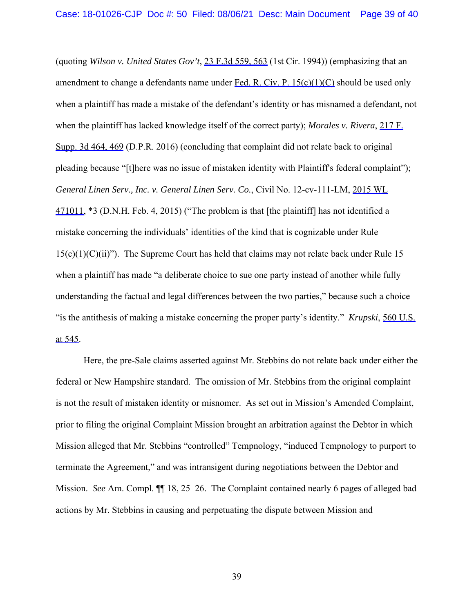(quoting *Wilson v. United States Gov't*, 23 F.3d 559, 563 (1st Cir. 1994)) (emphasizing that an amendment to change a defendants name under Fed. R. Civ. P. 15(c)(1)(C) should be used only when a plaintiff has made a mistake of the defendant's identity or has misnamed a defendant, not when the plaintiff has lacked knowledge itself of the correct party); *Morales v. Rivera*, 217 F. Supp. 3d 464, 469 (D.P.R. 2016) (concluding that complaint did not relate back to original pleading because "[t]here was no issue of mistaken identity with Plaintiff's federal complaint"); *General Linen Serv., Inc. v. General Linen Serv. Co.*, Civil No. 12-cv-111-LM, 2015 WL 471011, \*3 (D.N.H. Feb. 4, 2015) ("The problem is that [the plaintiff] has not identified a mistake concerning the individuals' identities of the kind that is cognizable under Rule  $15(c)(1)(C(ii))$ . The Supreme Court has held that claims may not relate back under Rule 15 when a plaintiff has made "a deliberate choice to sue one party instead of another while fully understanding the factual and legal differences between the two parties," because such a choice "is the antithesis of making a mistake concerning the proper party's identity." *Krupski*, 560 U.S. at 545.

Here, the pre-Sale claims asserted against Mr. Stebbins do not relate back under either the federal or New Hampshire standard. The omission of Mr. Stebbins from the original complaint is not the result of mistaken identity or misnomer. As set out in Mission's Amended Complaint, prior to filing the original Complaint Mission brought an arbitration against the Debtor in which Mission alleged that Mr. Stebbins "controlled" Tempnology, "induced Tempnology to purport to terminate the Agreement," and was intransigent during negotiations between the Debtor and Mission. *See* Am. Compl. ¶¶ 18, 25–26. The Complaint contained nearly 6 pages of alleged bad actions by Mr. Stebbins in causing and perpetuating the dispute between Mission and